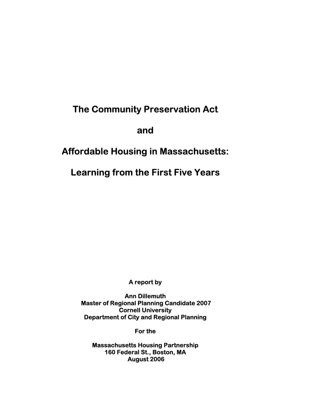# **The Community Preservation Act**

**and** 

# **Affordable Housing in Massachusetts:**

**Learning from the First Five Years** 

**A report by** 

**Ann Dillemuth Master of Regional Planning Candidate 2007 Cornell University Department of City and Regional Planning** 

**For the** 

**Massachusetts Housing Partnership 160 Federal St., Boston, MA August 2006**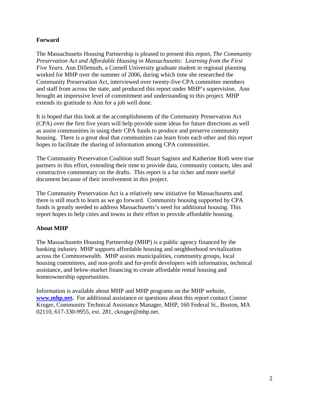# **Forward**

The Massachusetts Housing Partnership is pleased to present this report, *The Community Preservation Act and Affordable Housing in Massachusetts: Learning from the First Five Years.* Ann Dillemuth, a Cornell University graduate student in regional planning worked for MHP over the summer of 2006, during which time she researched the Community Preservation Act, interviewed over twenty-five CPA committee members and staff from across the state, and produced this report under MHP's supervision. Ann brought an impressive level of commitment and understanding to this project. MHP extends its gratitude to Ann for a job well done.

It is hoped that this look at the accomplishments of the Community Preservation Act (CPA) over the first five years will help provide some ideas for future directions as well as assist communities in using their CPA funds to produce and preserve community housing. There is a great deal that communities can learn from each other and this report hopes to facilitate the sharing of information among CPA communities.

The Community Preservation Coalition staff Stuart Saginor and Katherine Roth were true partners in this effort, extending their time to provide data, community contacts, ides and constructive commentary on the drafts. This report is a far richer and more useful document because of their involvement in this project.

The Community Preservation Act is a relatively new initiative for Massachusetts and there is still much to learn as we go forward. Community housing supported by CPA funds is greatly needed to address Massachusetts's need for additional housing. This report hopes to help cities and towns in their effort to provide affordable housing.

# **About MHP**

The Massachusetts Housing Partnership (MHP) is a public agency financed by the banking industry. MHP supports affordable housing and neighborhood revitalization across the Commonwealth. MHP assists municipalities, community groups, local housing committees, and non-profit and for-profit developers with information, technical assistance, and below-market financing to create affordable rental housing and homeownership opportunities.

Information is available about MHP and MHP programs on the MHP website, **www.mhp.net.** For additional assistance or questions about this report contact Connie Kruger, Community Technical Assistance Manager, MHP, 160 Federal St., Boston, MA 02110, 617-330-9955, ext. 281, ckruger@mhp.net.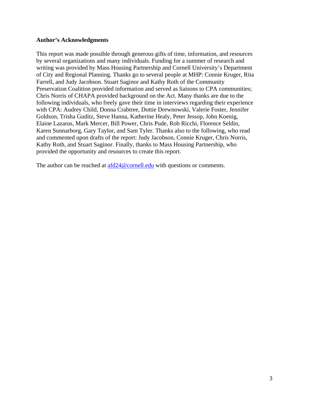#### **Author's Acknowledgments**

This report was made possible through generous gifts of time, information, and resources by several organizations and many individuals. Funding for a summer of research and writing was provided by Mass Housing Partnership and Cornell University's Department of City and Regional Planning. Thanks go to several people at MHP: Connie Kruger, Rita Farrell, and Judy Jacobson. Stuart Saginor and Kathy Roth of the Community Preservation Coalition provided information and served as liaisons to CPA communities; Chris Norris of CHAPA provided background on the Act. Many thanks are due to the following individuals, who freely gave their time in interviews regarding their experience with CPA: Audrey Child, Donna Crabtree, Dottie Drewnowski, Valerie Foster, Jennifer Goldson, Trisha Guditz, Steve Hanna, Katherine Healy, Peter Jessop, John Koenig, Elaine Lazarus, Mark Mercer, Bill Power, Chris Pude, Rob Ricchi, Florence Seldin, Karen Sunnarborg, Gary Taylor, and Sam Tyler. Thanks also to the following, who read and commented upon drafts of the report: Judy Jacobson, Connie Kruger, Chris Norris, Kathy Roth, and Stuart Saginor. Finally, thanks to Mass Housing Partnership, who provided the opportunity and resources to create this report.

The author can be reached at  $\frac{\text{afd24@cornell.edu}}{\text{aofd24@cornell.edu}}$  with questions or comments.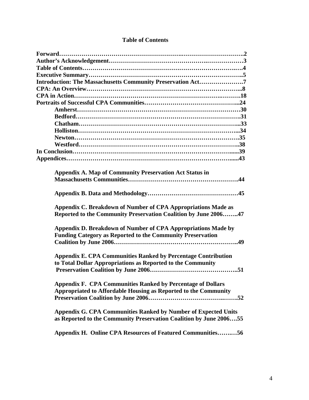| <b>Table of Contents</b> |  |  |
|--------------------------|--|--|
|--------------------------|--|--|

| Introduction: The Massachusetts Community Preservation Act7           |
|-----------------------------------------------------------------------|
|                                                                       |
|                                                                       |
|                                                                       |
|                                                                       |
|                                                                       |
|                                                                       |
|                                                                       |
|                                                                       |
|                                                                       |
|                                                                       |
|                                                                       |
|                                                                       |
| <b>Appendix A. Map of Community Preservation Act Status in</b>        |
|                                                                       |
|                                                                       |
|                                                                       |
|                                                                       |
| Appendix C. Breakdown of Number of CPA Appropriations Made as         |
| Reported to the Community Preservation Coalition by June 200647       |
|                                                                       |
| Appendix D. Breakdown of Number of CPA Appropriations Made by         |
| <b>Funding Category as Reported to the Community Preservation</b>     |
|                                                                       |
|                                                                       |
| <b>Appendix E. CPA Communities Ranked by Percentage Contribution</b>  |
| to Total Dollar Appropriations as Reported to the Community           |
|                                                                       |
|                                                                       |
| <b>Appendix F. CPA Communities Ranked by Percentage of Dollars</b>    |
| Appropriated to Affordable Housing as Reported to the Community       |
|                                                                       |
|                                                                       |
| <b>Appendix G. CPA Communities Ranked by Number of Expected Units</b> |
| as Reported to the Community Preservation Coalition by June 200655    |
|                                                                       |
| Appendix H. Online CPA Resources of Featured Communities56            |
|                                                                       |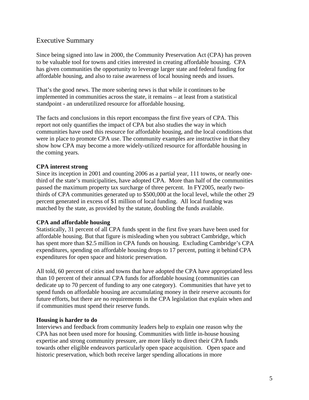# Executive Summary

Since being signed into law in 2000, the Community Preservation Act (CPA) has proven to be valuable tool for towns and cities interested in creating affordable housing. CPA has given communities the opportunity to leverage larger state and federal funding for affordable housing, and also to raise awareness of local housing needs and issues.

That's the good news. The more sobering news is that while it continues to be implemented in communities across the state, it remains – at least from a statistical standpoint - an underutilized resource for affordable housing.

The facts and conclusions in this report encompass the first five years of CPA. This report not only quantifies the impact of CPA but also studies the way in which communities have used this resource for affordable housing, and the local conditions that were in place to promote CPA use. The community examples are instructive in that they show how CPA may become a more widely-utilized resource for affordable housing in the coming years.

# **CPA interest strong**

Since its inception in 2001 and counting 2006 as a partial year, 111 towns, or nearly onethird of the state's municipalities, have adopted CPA. More than half of the communities passed the maximum property tax surcharge of three percent. In FY2005, nearly twothirds of CPA communities generated up to \$500,000 at the local level, while the other 29 percent generated in excess of \$1 million of local funding. All local funding was matched by the state, as provided by the statute, doubling the funds available.

# **CPA and affordable housing**

Statistically, 31 percent of all CPA funds spent in the first five years have been used for affordable housing. But that figure is misleading when you subtract Cambridge, which has spent more than \$2.5 million in CPA funds on housing. Excluding Cambridge's CPA expenditures, spending on affordable housing drops to 17 percent, putting it behind CPA expenditures for open space and historic preservation.

All told, 60 percent of cities and towns that have adopted the CPA have appropriated less than 10 percent of their annual CPA funds for affordable housing (communities can dedicate up to 70 percent of funding to any one category). Communities that have yet to spend funds on affordable housing are accumulating money in their reserve accounts for future efforts, but there are no requirements in the CPA legislation that explain when and if communities must spend their reserve funds.

#### **Housing is harder to do**

Interviews and feedback from community leaders help to explain one reason why the CPA has not been used more for housing. Communities with little in-house housing expertise and strong community pressure, are more likely to direct their CPA funds towards other eligible endeavors particularly open space acquisition. Open space and historic preservation, which both receive larger spending allocations in more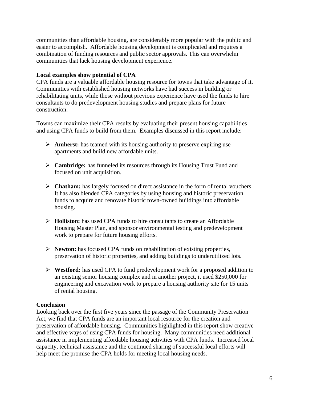communities than affordable housing, are considerably more popular with the public and easier to accomplish. Affordable housing development is complicated and requires a combination of funding resources and public sector approvals. This can overwhelm communities that lack housing development experience.

# **Local examples show potential of CPA**

CPA funds are a valuable affordable housing resource for towns that take advantage of it. Communities with established housing networks have had success in building or rehabilitating units, while those without previous experience have used the funds to hire consultants to do predevelopment housing studies and prepare plans for future construction.

Towns can maximize their CPA results by evaluating their present housing capabilities and using CPA funds to build from them. Examples discussed in this report include:

- ¾ **Amherst:** has teamed with its housing authority to preserve expiring use apartments and build new affordable units.
- ¾ **Cambridge:** has funneled its resources through its Housing Trust Fund and focused on unit acquisition.
- ¾ **Chatham:** has largely focused on direct assistance in the form of rental vouchers. It has also blended CPA categories by using housing and historic preservation funds to acquire and renovate historic town-owned buildings into affordable housing.
- ¾ **Holliston:** has used CPA funds to hire consultants to create an Affordable Housing Master Plan, and sponsor environmental testing and predevelopment work to prepare for future housing efforts.
- ¾ **Newton:** has focused CPA funds on rehabilitation of existing properties, preservation of historic properties, and adding buildings to underutilized lots.
- ¾ **Westford:** has used CPA to fund predevelopment work for a proposed addition to an existing senior housing complex and in another project, it used \$250,000 for engineering and excavation work to prepare a housing authority site for 15 units of rental housing.

# **Conclusion**

Looking back over the first five years since the passage of the Community Preservation Act, we find that CPA funds are an important local resource for the creation and preservation of affordable housing. Communities highlighted in this report show creative and effective ways of using CPA funds for housing. Many communities need additional assistance in implementing affordable housing activities with CPA funds. Increased local capacity, technical assistance and the continued sharing of successful local efforts will help meet the promise the CPA holds for meeting local housing needs.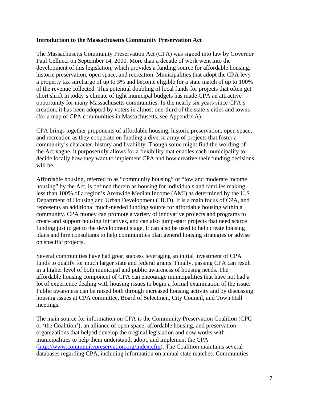#### **Introduction to the Massachusetts Community Preservation Act**

The Massachusetts Community Preservation Act (CPA) was signed into law by Governor Paul Cellucci on September 14, 2000. More than a decade of work went into the development of this legislation, which provides a funding source for affordable housing, historic preservation, open space, and recreation. Municipalities that adopt the CPA levy a property tax surcharge of up to 3% and become eligible for a state match of up to 100% of the revenue collected. This potential doubling of local funds for projects that often get short shrift in today's climate of tight municipal budgets has made CPA an attractive opportunity for many Massachusetts communities. In the nearly six years since CPA's creation, it has been adopted by voters in almost one-third of the state's cities and towns (for a map of CPA communities in Massachusetts, see Appendix A).

CPA brings together proponents of affordable housing, historic preservation, open space, and recreation as they cooperate on funding a diverse array of projects that foster a community's character, history and livability. Though some might find the wording of the Act vague, it purposefully allows for a flexibility that enables each municipality to decide locally how they want to implement CPA and how creative their funding decisions will be.

Affordable housing, referred to as "community housing" or "low and moderate income housing" by the Act, is defined therein as housing for individuals and families making less than 100% of a region's Areawide Median Income (AMI) as determined by the U.S. Department of Housing and Urban Development (HUD). It is a main focus of CPA, and represents an additional much-needed funding source for affordable housing within a community. CPA money can promote a variety of innovative projects and programs to create and support housing initiatives, and can also jump-start projects that need scarce funding just to get to the development stage. It can also be used to help create housing plans and hire consultants to help communities plan general housing strategies or advise on specific projects.

Several communities have had great success leveraging an initial investment of CPA funds to qualify for much larger state and federal grants. Finally, passing CPA can result in a higher level of both municipal and public awareness of housing needs. The affordable housing component of CPA can encourage municipalities that have not had a lot of experience dealing with housing issues to begin a formal examination of the issue. Public awareness can be raised both through increased housing activity and by discussing housing issues at CPA committee, Board of Selectmen, City Council, and Town Hall meetings.

The main source for information on CPA is the Community Preservation Coalition (CPC or 'the Coalition'), an alliance of open space, affordable housing, and preservation organizations that helped develop the original legislation and now works with municipalities to help them understand, adopt, and implement the CPA (http://www.communitypreservation.org/index.cfm). The Coalition maintains several databases regarding CPA, including information on annual state matches. Communities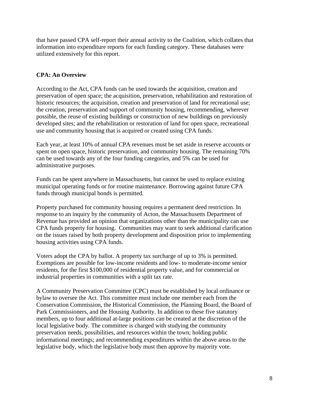that have passed CPA self-report their annual activity to the Coalition, which collates that information into expenditure reports for each funding category. These databases were utilized extensively for this report.

# **CPA: An Overview**

According to the Act, CPA funds can be used towards the acquisition, creation and preservation of open space; the acquisition, preservation, rehabilitation and restoration of historic resources; the acquisition, creation and preservation of land for recreational use; the creation, preservation and support of community housing, recommending, wherever possible, the reuse of existing buildings or construction of new buildings on previously developed sites; and the rehabilitation or restoration of land for open space, recreational use and community housing that is acquired or created using CPA funds.

Each year, at least 10% of annual CPA revenues must be set aside in reserve accounts or spent on open space, historic preservation, and community housing. The remaining 70% can be used towards any of the four funding categories, and 5% can be used for administrative purposes.

Funds can be spent anywhere in Massachusetts, but cannot be used to replace existing municipal operating funds or for routine maintenance. Borrowing against future CPA funds through municipal bonds is permitted.

Property purchased for community housing requires a permanent deed restriction. In response to an inquiry by the community of Acton, the Massachusetts Department of Revenue has provided an opinion that organizations other than the municipality can use CPA funds property for housing. Communities may want to seek additional clarification on the issues raised by both property development and disposition prior to implementing housing activities using CPA funds.

Voters adopt the CPA by ballot. A property tax surcharge of up to 3% is permitted. Exemptions are possible for low-income residents and low- to moderate-income senior residents, for the first \$100,000 of residential property value, and for commercial or industrial properties in communities with a split tax rate.

A Community Preservation Committee (CPC) must be established by local ordinance or bylaw to oversee the Act. This committee must include one member each from the Conservation Commission, the Historical Commission, the Planning Board, the Board of Park Commissioners, and the Housing Authority. In addition to these five statutory members, up to four additional at-large positions can be created at the discretion of the local legislative body. The committee is charged with studying the community preservation needs, possibilities, and resources within the town; holding public informational meetings; and recommending expenditures within the above areas to the legislative body, which the legislative body must then approve by majority vote.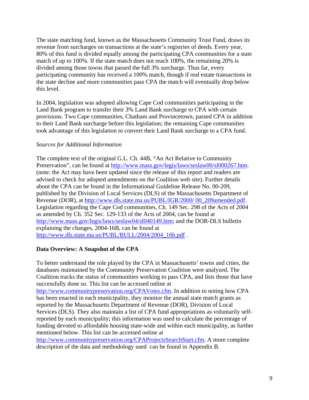The state matching fund, known as the Massachusetts Community Trust Fund, draws its revenue from surcharges on transactions at the state's registries of deeds. Every year, 80% of this fund is divided equally among the participating CPA communities for a state match of up to 100%. If the state match does not reach 100%, the remaining 20% is divided among those towns that passed the full 3% surcharge. Thus far, every participating community has received a 100% match, though if real estate transactions in the state decline and more communities pass CPA the match will eventually drop below this level.

In 2004, legislation was adopted allowing Cape Cod communities participating in the Land Bank program to transfer their 3% Land Bank surcharge to CPA with certain provisions. Two Cape communities, Chatham and Provincetown, passed CPA in addition to their Land Bank surcharge before this legislation; the remaining Cape communities took advantage of this legislation to convert their Land Bank surcharge to a CPA fund.

### *Sources for Additional Information*

The complete text of the original G.L. Ch. 44B, "An Act Relative to Community Preservation", can be found at http://www.mass.gov/legis/laws/seslaw00/sl000267.htm. (note: the Act may have been updated since the release of this report and readers are advised to check for adopted amendments on the Coalition web site). Further details about the CPA can be found in the Informational Guideline Release No. 00-209, published by the Division of Local Services (DLS) of the Massachusetts Department of Revenue (DOR), at http://www.dls.state.ma.us/PUBL/IGR/2000/ 00\_209amended.pdf. Legislation regarding the Cape Cod communities, Ch. 149 Sec. 298 of the Acts of 2004 as amended by Ch. 352 Sec. 129-133 of the Acts of 2004, can be found at http://www.mass.gov/legis/laws/seslaw04/sl040149.htm; and the DOR-DLS bulletin explaining the changes, 2004-16B, can be found at http://www.dls.state.ma.us/PUBL/BULL/2004/2004\_16b.pdf .

# **Data Overview: A Snapshot of the CPA**

To better understand the role played by the CPA in Massachusetts' towns and cities, the databases maintained by the Community Preservation Coalition were analyzed. The Coalition tracks the status of communities working to pass CPA, and lists those that have successfully done so. This list can be accessed online at

http://www.communitypreservation.org/CPAVotes.cfm. In addition to noting how CPA has been enacted in each municipality, they monitor the annual state match grants as reported by the Massachusetts Department of Revenue (DOR), Division of Local Services (DLS). They also maintain a list of CPA fund appropriations as voluntarily selfreported by each municipality; this information was used to calculate the percentage of funding devoted to affordable housing state-wide and within each municipality, as further mentioned below. This list can be accessed online at

http://www.communitypreservation.org/CPAProjectsSearchStart.cfm. A more complete description of the data and methodology used can be found in Appendix B.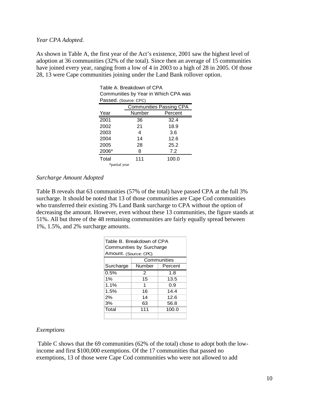#### *Year CPA Adopted.*

As shown in Table A, the first year of the Act's existence, 2001 saw the highest level of adoption at 36 communities (32% of the total). Since then an average of 15 communities have joined every year, ranging from a low of 4 in 2003 to a high of 28 in 2005. Of those 28, 13 were Cape communities joining under the Land Bank rollover option.

| Table A. Breakdown of CPA            |                       |         |  |
|--------------------------------------|-----------------------|---------|--|
| Communities by Year in Which CPA was |                       |         |  |
|                                      | Passed. (Source: CPC) |         |  |
| <b>Communities Passing CPA</b>       |                       |         |  |
| Year                                 | Number                | Percent |  |
| 2001                                 | 36                    | 32.4    |  |
| 2002                                 | 21                    | 18.9    |  |
| 2003                                 | 4                     | 3.6     |  |
| 2004                                 | 14                    | 12.6    |  |
| 2005                                 | 28                    | 25.2    |  |
| 2006*                                | 8                     | 7.2     |  |
| Total                                | 111                   | 100.0   |  |
| *partial year                        |                       |         |  |

#### *Surcharge Amount Adopted*

Table B reveals that 63 communities (57% of the total) have passed CPA at the full 3% surcharge. It should be noted that 13 of those communities are Cape Cod communities who transferred their existing 3% Land Bank surcharge to CPA without the option of decreasing the amount. However, even without these 13 communities, the figure stands at 51%. All but three of the 48 remaining communities are fairly equally spread between 1%, 1.5%, and 2% surcharge amounts.

| Table B. Breakdown of CPA<br>Communities by Surcharge<br>Amount. (Source: CPC) |            |             |  |  |  |  |  |
|--------------------------------------------------------------------------------|------------|-------------|--|--|--|--|--|
|                                                                                |            | Communities |  |  |  |  |  |
| Surcharge                                                                      | Number     | Percent     |  |  |  |  |  |
| 0.5%                                                                           | 2          | 1.8         |  |  |  |  |  |
| 1%                                                                             | 15         | 13.5        |  |  |  |  |  |
| 1.1%                                                                           | 1<br>0.9   |             |  |  |  |  |  |
| 1.5%                                                                           | 16         | 14.4        |  |  |  |  |  |
| 2%                                                                             | 14         | 12.6        |  |  |  |  |  |
| 3%                                                                             | 63<br>56.8 |             |  |  |  |  |  |
| Total                                                                          | 111        | 100.0       |  |  |  |  |  |
|                                                                                |            |             |  |  |  |  |  |

#### *Exemptions*

 Table C shows that the 69 communities (62% of the total) chose to adopt both the lowincome and first \$100,000 exemptions. Of the 17 communities that passed no exemptions, 13 of those were Cape Cod communities who were not allowed to add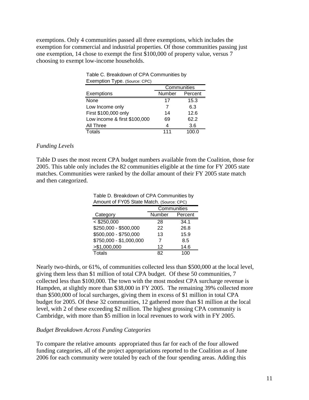exemptions. Only 4 communities passed all three exemptions, which includes the exemption for commercial and industrial properties. Of those communities passing just one exemption, 14 chose to exempt the first \$100,000 of property value, versus 7 choosing to exempt low-income households.

| $\blacksquare$ . Exemption Type. (Source: CPC) |             |         |  |
|------------------------------------------------|-------------|---------|--|
|                                                | Communities |         |  |
| Exemptions                                     | Number      | Percent |  |
| None                                           | 17          | 15.3    |  |
| Low Income only                                |             | 6.3     |  |
| First \$100,000 only                           | 14          | 12.6    |  |
| Low income & first \$100,000                   | 69          | 62.2    |  |
| All Three                                      | 4           | 3.6     |  |
| Totals                                         | 111         | 100.0   |  |

#### Table C. Breakdown of CPA Communities by Exemption Type. (Source: CPC)

#### *Funding Levels*

Table D uses the most recent CPA budget numbers available from the Coalition, those for 2005. This table only includes the 82 communities eligible at the time for FY 2005 state matches. Communities were ranked by the dollar amount of their FY 2005 state match and then categorized.

Table D. Breakdown of CPA Communities by

| Amount of FY05 State Match. (Source: CPC) |    |      |  |  |  |
|-------------------------------------------|----|------|--|--|--|
| Communities                               |    |      |  |  |  |
| Number<br>Category<br>Percent             |    |      |  |  |  |
| $<$ \$250,000                             | 28 | 34.1 |  |  |  |
| \$250,000 - \$500,000                     | 22 | 26.8 |  |  |  |
| \$500,000 - \$750,000                     | 13 | 15.9 |  |  |  |
| \$750,000 - \$1,000,000                   | 7  | 8.5  |  |  |  |
| > \$1,000,000                             | 12 | 14.6 |  |  |  |
| Totals<br>100<br>82                       |    |      |  |  |  |

Nearly two-thirds, or 61%, of communities collected less than \$500,000 at the local level, giving them less than \$1 million of total CPA budget. Of these 50 communities, 7 collected less than \$100,000. The town with the most modest CPA surcharge revenue is Hampden, at slightly more than \$38,000 in FY 2005. The remaining 39% collected more than \$500,000 of local surcharges, giving them in excess of \$1 million in total CPA budget for 2005. Of these 32 communities, 12 gathered more than \$1 million at the local level, with 2 of these exceeding \$2 million. The highest grossing CPA community is Cambridge, with more than \$5 million in local revenues to work with in FY 2005.

#### *Budget Breakdown Across Funding Categories*

To compare the relative amounts appropriated thus far for each of the four allowed funding categories, all of the project appropriations reported to the Coalition as of June 2006 for each community were totaled by each of the four spending areas. Adding this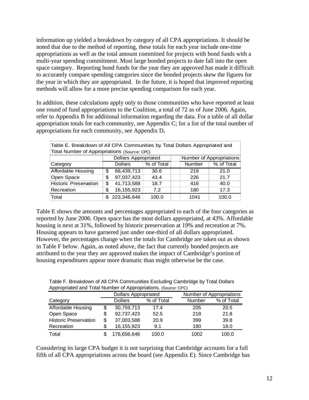information up yielded a breakdown by category of all CPA appropriations. It should be noted that due to the method of reporting, these totals for each year include one-time appropriations as well as the total amount committed for projects with bond funds with a multi-year spending commitment. Most large bonded projects to date fall into the open space category. Reporting bond funds for the year they are approved has made it difficult to accurately compare spending categories since the bonded projects skew the figures for the year in which they are appropriated. In the future, it is hoped that improved reporting methods will allow for a more precise spending comparison for each year.

In addition, these calculations apply only to those communities who have reported at least one round of fund appropriations to the Coalition, a total of 72 as of June 2006. Again, refer to Appendix B for additional information regarding the data. For a table of all dollar appropriation totals for each community, see Appendix C; for a list of the total number of appropriations for each community, see Appendix D**.**

| Table E. Breakdown of All CPA Communities by Total Dollars Appropriated and<br>Total Number of Appropriations (Source: CPC) |                                               |            |      |  |            |      |
|-----------------------------------------------------------------------------------------------------------------------------|-----------------------------------------------|------------|------|--|------------|------|
| <b>Dollars Appropriated</b><br>Number of Appropriations                                                                     |                                               |            |      |  |            |      |
| Category                                                                                                                    | % of Total<br><b>Dollars</b><br><b>Number</b> |            |      |  | % of Total |      |
| Affordable Housing                                                                                                          | \$                                            | 68,439,713 | 30.6 |  | 219        | 21.0 |
| Open Space                                                                                                                  | \$                                            | 97,037,423 | 43.4 |  | 226        | 21.7 |
| <b>Historic Preservation</b>                                                                                                | 41,713,588<br>\$<br>416<br>18.7               |            | 40.0 |  |            |      |
| Recreation                                                                                                                  | 16, 155, 923<br>\$<br>7.2<br>180              |            |      |  | 17.3       |      |
| 223,346,646<br>Total<br>1041<br>100.0<br>100.0<br>S.                                                                        |                                               |            |      |  |            |      |

Table E shows the amounts and percentages appropriated to each of the four categories as reported by June 2006. Open space has the most dollars appropriated, at 43%. Affordable housing is next at 31%, followed by historic preservation at 19% and recreation at 7%. Housing appears to have garnered just under one-third of all dollars appropriated. However, the percentages change when the totals for Cambridge are taken out as shown in Table F below. Again, as noted above, the fact that currently bonded projects are attributed to the year they are approved makes the impact of Cambridge's portion of housing expenditures appear more dramatic than might otherwise be the case.

| Appropriated and Total Number of Appropriations. (Source, CFC) |    |                             |            |        |                          |  |  |
|----------------------------------------------------------------|----|-----------------------------|------------|--------|--------------------------|--|--|
|                                                                |    | <b>Dollars Appropriated</b> |            |        | Number of Appropriations |  |  |
| Category                                                       |    | <b>Dollars</b>              | % of Total | Number | % of Total               |  |  |
| Affordable Housing                                             | \$ | 30,759,713                  | 17.4       | 205    | 20.5                     |  |  |
| Open Space                                                     | \$ | 92,737,423                  | 52.5       | 218    | 21.8                     |  |  |
| <b>Historic Preservation</b>                                   | \$ | 37,003,588                  | 20.9       | 399    | 39.8                     |  |  |
| Recreation                                                     | \$ | 16,155,923                  | 9.1        | 180    | 18.0                     |  |  |
| Total                                                          |    | 176,656,646                 | 100.0      | 1002   | 100.0                    |  |  |

Table F. Breakdown of All CPA Communities Excluding Cambridge by Total Dollars Appropriated and Total Number of Appropriations. (Source: CPC)

Considering its large CPA budget it is not surprising that Cambridge accounts for a full fifth of all CPA appropriations across the board (see Appendix E). Since Cambridge has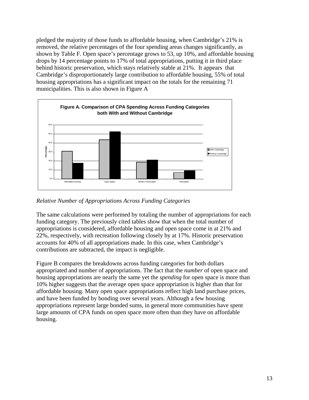pledged the majority of those funds to affordable housing, when Cambridge's 21% is removed, the relative percentages of the four spending areas changes significantly, as shown by Table F. Open space's percentage grows to 53, up 10%, and affordable housing drops by 14 percentage points to 17% of total appropriations, putting it in third place behind historic preservation, which stays relatively stable at 21%. It appears that Cambridge's disproportionately large contribution to affordable housing, 55% of total housing appropriations has a significant impact on the totals for the remaining 71 municipalities. This is also shown in Figure A



*Relative Number of Appropriations Across Funding Categories* 

The same calculations were performed by totaling the number of appropriations for each funding category. The previously cited tables show that when the total number of appropriations is considered, affordable housing and open space come in at 21% and 22%, respectively, with recreation following closely by at 17%. Historic preservation accounts for 40% of all appropriations made. In this case, when Cambridge's contributions are subtracted, the impact is negligible.

Figure B compares the breakdowns across funding categories for both dollars appropriated and number of appropriations. The fact that the *number* of open space and housing appropriations are nearly the same yet the *spending* for open space is more than 10% higher suggests that the average open space appropriation is higher than that for affordable housing. Many open space appropriations reflect high land purchase prices, and have been funded by bonding over several years. Although a few housing appropriations represent large bonded sums, in general more communities have spent large amounts of CPA funds on open space more often than they have on affordable housing.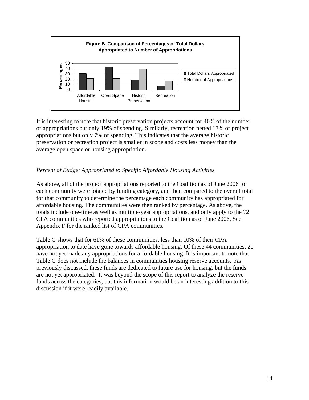

It is interesting to note that historic preservation projects account for 40% of the number of appropriations but only 19% of spending. Similarly, recreation netted 17% of project appropriations but only 7% of spending. This indicates that the average historic preservation or recreation project is smaller in scope and costs less money than the average open space or housing appropriation.

# *Percent of Budget Appropriated to Specific Affordable Housing Activities*

As above, all of the project appropriations reported to the Coalition as of June 2006 for each community were totaled by funding category, and then compared to the overall total for that community to determine the percentage each community has appropriated for affordable housing. The communities were then ranked by percentage. As above, the totals include one-time as well as multiple-year appropriations, and only apply to the 72 CPA communities who reported appropriations to the Coalition as of June 2006. See Appendix F for the ranked list of CPA communities.

Table G shows that for 61% of these communities, less than 10% of their CPA appropriation to date have gone towards affordable housing. Of these 44 communities, 20 have not yet made any appropriations for affordable housing. It is important to note that Table G does not include the balances in communities housing reserve accounts. As previously discussed, these funds are dedicated to future use for housing, but the funds are not yet appropriated. It was beyond the scope of this report to analyze the reserve funds across the categories, but this information would be an interesting addition to this discussion if it were readily available.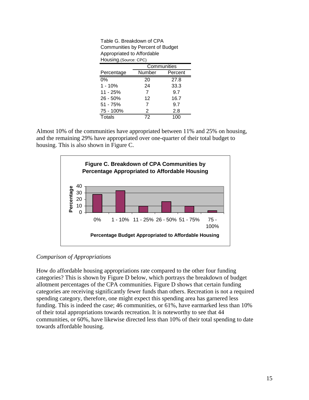| Appropriated to Affordable |             |         |  |  |  |
|----------------------------|-------------|---------|--|--|--|
| Housing. (Source: CPC)     |             |         |  |  |  |
|                            | Communities |         |  |  |  |
| Percentage                 | Number      | Percent |  |  |  |
| 0%                         | 20          | 27.8    |  |  |  |
| $1 - 10%$                  | 24          | 33.3    |  |  |  |
| 11 - 25%                   | 7           | 9.7     |  |  |  |
| $26 - 50%$                 | 12          | 16.7    |  |  |  |
| 51 - 75%                   | 7           | 9.7     |  |  |  |
| 75 - 100%                  | 2           | 2.8     |  |  |  |
| Totals                     | 72          | 100     |  |  |  |

Table G. Breakdown of CPA Communities by Percent of Budget

Almost 10% of the communities have appropriated between 11% and 25% on housing, and the remaining 29% have appropriated over one-quarter of their total budget to housing. This is also shown in Figure C.



# *Comparison of Appropriations*

How do affordable housing appropriations rate compared to the other four funding categories? This is shown by Figure D below, which portrays the breakdown of budget allotment percentages of the CPA communities. Figure D shows that certain funding categories are receiving significantly fewer funds than others. Recreation is not a required spending category, therefore, one might expect this spending area has garnered less funding. This is indeed the case; 46 communities, or 61%, have earmarked less than 10% of their total appropriations towards recreation. It is noteworthy to see that 44 communities, or 60%, have likewise directed less than 10% of their total spending to date towards affordable housing.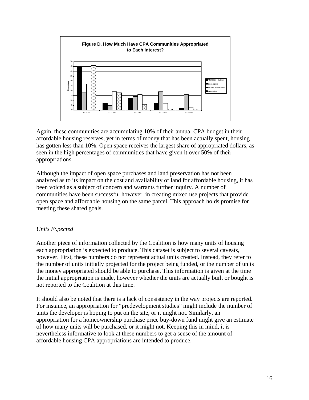

Again, these communities are accumulating 10% of their annual CPA budget in their affordable housing reserves, yet in terms of money that has been actually spent, housing has gotten less than 10%. Open space receives the largest share of appropriated dollars, as seen in the high percentages of communities that have given it over 50% of their appropriations.

Although the impact of open space purchases and land preservation has not been analyzed as to its impact on the cost and availability of land for affordable housing, it has been voiced as a subject of concern and warrants further inquiry. A number of communities have been successful however, in creating mixed use projects that provide open space and affordable housing on the same parcel. This approach holds promise for meeting these shared goals.

# *Units Expected*

Another piece of information collected by the Coalition is how many units of housing each appropriation is expected to produce. This dataset is subject to several caveats, however. First, these numbers do not represent actual units created. Instead, they refer to the number of units initially projected for the project being funded, or the number of units the money appropriated should be able to purchase. This information is given at the time the initial appropriation is made, however whether the units are actually built or bought is not reported to the Coalition at this time.

It should also be noted that there is a lack of consistency in the way projects are reported. For instance, an appropriation for "predevelopment studies" might include the number of units the developer is hoping to put on the site, or it might not. Similarly, an appropriation for a homeownership purchase price buy-down fund might give an estimate of how many units will be purchased, or it might not. Keeping this in mind, it is nevertheless informative to look at these numbers to get a sense of the amount of affordable housing CPA appropriations are intended to produce.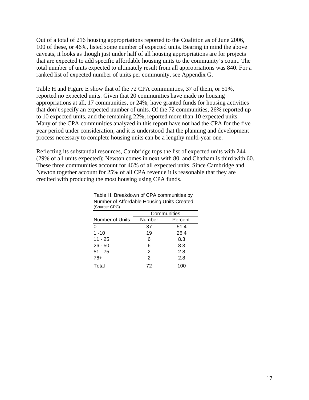Out of a total of 216 housing appropriations reported to the Coalition as of June 2006, 100 of these, or 46%, listed some number of expected units. Bearing in mind the above caveats, it looks as though just under half of all housing appropriations are for projects that are expected to add specific affordable housing units to the community's count. The total number of units expected to ultimately result from all appropriations was 840. For a ranked list of expected number of units per community, see Appendix G.

Table H and Figure E show that of the 72 CPA communities, 37 of them, or 51%, reported no expected units. Given that 20 communities have made no housing appropriations at all, 17 communities, or 24%, have granted funds for housing activities that don't specify an expected number of units. Of the 72 communities, 26% reported up to 10 expected units, and the remaining 22%, reported more than 10 expected units. Many of the CPA communities analyzed in this report have not had the CPA for the five year period under consideration, and it is understood that the planning and development process necessary to complete housing units can be a lengthy multi-year one.

Reflecting its substantial resources, Cambridge tops the list of expected units with 244 (29% of all units expected); Newton comes in next with 80, and Chatham is third with 60. These three communities account for 46% of all expected units. Since Cambridge and Newton together account for 25% of all CPA revenue it is reasonable that they are credited with producing the most housing using CPA funds.

| $1 - 1 - 1 - 1 - 1 - 1 = 1 - 1$ |             |         |  |  |
|---------------------------------|-------------|---------|--|--|
|                                 | Communities |         |  |  |
| Number of Units                 | Number      | Percent |  |  |
| $\Omega$                        | 37          | 51.4    |  |  |
| $1 - 10$                        | 19          | 26.4    |  |  |
| $11 - 25$                       | 6           | 8.3     |  |  |
| $26 - 50$                       | 6           | 8.3     |  |  |
| $51 - 75$                       | 2           | 2.8     |  |  |
| $76+$                           | 2           | 2.8     |  |  |
| Total                           | 72          | 100     |  |  |

| Table H. Breakdown of CPA communities by    |
|---------------------------------------------|
| Number of Affordable Housing Units Created. |
| (Source: CPC)                               |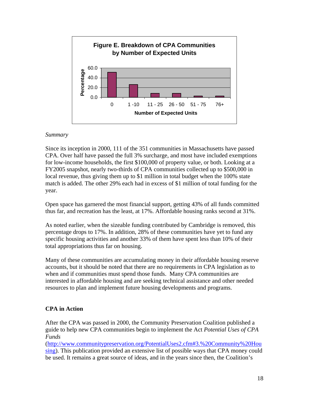

### *Summary*

Since its inception in 2000, 111 of the 351 communities in Massachusetts have passed CPA. Over half have passed the full 3% surcharge, and most have included exemptions for low-income households, the first \$100,000 of property value, or both. Looking at a FY2005 snapshot, nearly two-thirds of CPA communities collected up to \$500,000 in local revenue, thus giving them up to \$1 million in total budget when the 100% state match is added. The other 29% each had in excess of \$1 million of total funding for the year.

Open space has garnered the most financial support, getting 43% of all funds committed thus far, and recreation has the least, at 17%. Affordable housing ranks second at 31%.

As noted earlier, when the sizeable funding contributed by Cambridge is removed, this percentage drops to 17%. In addition, 28% of these communities have yet to fund any specific housing activities and another 33% of them have spent less than 10% of their total appropriations thus far on housing.

Many of these communities are accumulating money in their affordable housing reserve accounts, but it should be noted that there are no requirements in CPA legislation as to when and if communities must spend those funds. Many CPA communities are interested in affordable housing and are seeking technical assistance and other needed resources to plan and implement future housing developments and programs.

# **CPA in Action**

After the CPA was passed in 2000, the Community Preservation Coalition published a guide to help new CPA communities begin to implement the Act *Potential Uses of CPA Funds*

(http://www.communitypreservation.org/PotentialUses2.cfm#3.%20Community%20Hou sing). This publication provided an extensive list of possible ways that CPA money could be used. It remains a great source of ideas, and in the years since then, the Coalition's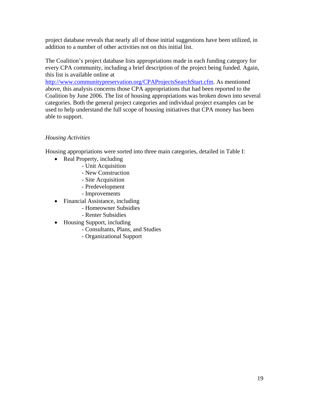project database reveals that nearly all of those initial suggestions have been utilized, in addition to a number of other activities not on this initial list.

The Coalition's project database lists appropriations made in each funding category for every CPA community, including a brief description of the project being funded. Again, this list is available online at

http://www.communitypreservation.org/CPAProjectsSearchStart.cfm. As mentioned above, this analysis concerns those CPA appropriations that had been reported to the Coalition by June 2006. The list of housing appropriations was broken down into several categories. Both the general project categories and individual project examples can be used to help understand the full scope of housing initiatives that CPA money has been able to support.

# *Housing Activities*

Housing appropriations were sorted into three main categories, detailed in Table I:

- Real Property, including
	- Unit Acquisition
	- New Construction
	- Site Acquisition
	- Predevelopment
	- Improvements
- Financial Assistance, including
	- Homeowner Subsidies
	- Renter Subsidies
- Housing Support, including
	- Consultants, Plans, and Studies
	- Organizational Support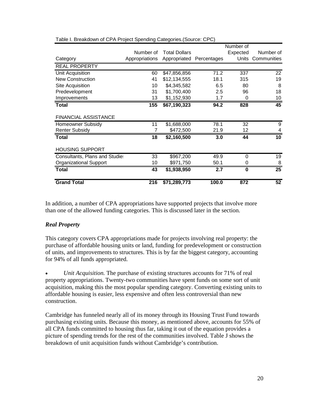|                                       |                |                          |                  | Number of |                 |
|---------------------------------------|----------------|--------------------------|------------------|-----------|-----------------|
|                                       | Number of      | <b>Total Dollars</b>     |                  | Expected  | Number of       |
| Category                              | Appropriations | Appropriated Percentages |                  | Units     | Communities     |
| <b>REAL PROPERTY</b>                  |                |                          |                  |           |                 |
| Unit Acquisition                      | 60             | \$47,856,856             | 71.2             | 337       | $\overline{22}$ |
| <b>New Construction</b>               | 41             | \$12,134,555             | 18.1             | 315       | 19              |
| Site Acquisition                      | 10             | \$4,345,582              | 6.5              | 80        | 8               |
| Predevelopment                        | 31             | \$1,700,400              | 2.5              | 96        | 18              |
| Improvements                          | 13             | \$1,152,930              | 1.7              | 0         | 10              |
| Total                                 | 155            | \$67,190,323             | 94.2             | 828       | 45              |
| <b>FINANCIAL ASSISTANCE</b>           |                |                          |                  |           |                 |
| Homeowner Subsidy                     | 11             | $\overline{$}1,688,000$  | 78.1             | 32        | 9               |
| <b>Renter Subsidy</b>                 |                | \$472,500                | 21.9             | 12        | 4               |
| <b>Total</b>                          | 18             | \$2,160,500              | 3.0              | 44        | 10              |
| <b>HOUSING SUPPORT</b>                |                |                          |                  |           |                 |
| <b>Consultants, Plans and Studies</b> | 33             | \$967,200                | 49.9             | 0         | 19              |
| <b>Organizational Support</b>         | 10             | \$971,750                | 50.1             | O         | 8               |
| <b>Total</b>                          | 43             | \$1,938,950              | $\overline{2.7}$ | $\bf{0}$  | $\overline{25}$ |
| <b>Grand Total</b>                    | 216            | \$71,289,773             | 100.0            | 872       | 52              |

Table I. Breakdown of CPA Project Spending Categories.(Source: CPC)

In addition, a number of CPA appropriations have supported projects that involve more than one of the allowed funding categories. This is discussed later in the section.

# *Real Property*

This category covers CPA appropriations made for projects involving real property: the purchase of affordable housing units or land, funding for predevelopment or construction of units, and improvements to structures. This is by far the biggest category, accounting for 94% of all funds appropriated.

• *Unit Acquisition.* The purchase of existing structures accounts for 71% of real property appropriations. Twenty-two communities have spent funds on some sort of unit acquisition, making this the most popular spending category. Converting existing units to affordable housing is easier, less expensive and often less controversial than new construction.

Cambridge has funneled nearly all of its money through its Housing Trust Fund towards purchasing existing units. Because this money, as mentioned above, accounts for 55% of all CPA funds committed to housing thus far, taking it out of the equation provides a picture of spending trends for the rest of the communities involved. Table J shows the breakdown of unit acquisition funds without Cambridge's contribution.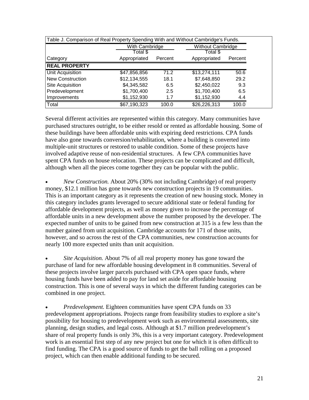| Table J. Comparison of Real Property Spending With and Without Cambridge's Funds. |              |         |              |         |  |  |  |  |  |
|-----------------------------------------------------------------------------------|--------------|---------|--------------|---------|--|--|--|--|--|
| With Cambridge<br><b>Without Cambridge</b>                                        |              |         |              |         |  |  |  |  |  |
|                                                                                   | Total \$     |         | Total \$     |         |  |  |  |  |  |
| Category                                                                          | Appropriated | Percent | Appropriated | Percent |  |  |  |  |  |
| <b>REAL PROPERTY</b>                                                              |              |         |              |         |  |  |  |  |  |
| Unit Acquisition                                                                  | \$47,856,856 | 71.2    | \$13,274,111 | 50.6    |  |  |  |  |  |
| <b>New Construction</b>                                                           | \$12,134,555 | 18.1    | \$7,648,850  | 29.2    |  |  |  |  |  |
| Site Acquisition                                                                  | \$4,345,582  | 6.5     | \$2,450,022  | 9.3     |  |  |  |  |  |
| Predevelopment                                                                    | \$1,700,400  | 2.5     | \$1,700,400  | 6.5     |  |  |  |  |  |
| Improvements                                                                      | \$1,152,930  | 1.7     | \$1,152,930  | 4.4     |  |  |  |  |  |
| Total                                                                             | \$67,190,323 | 100.0   | \$26,226,313 | 100.0   |  |  |  |  |  |

Several different activities are represented within this category. Many communities have purchased structures outright, to be either resold or rented as affordable housing. Some of these buildings have been affordable units with expiring deed restrictions. CPA funds have also gone towards conversion/rehabilitation, where a building is converted into multiple-unit structures or restored to usable condition. Some of these projects have involved adaptive reuse of non-residential structures. A few CPA communities have spent CPA funds on house relocation. These projects can be complicated and difficult, although when all the pieces come together they can be popular with the public.

• *New Construction.* About 20% (30% not including Cambridge) of real property money, \$12.1 million has gone towards new construction projects in 19 communities. This is an important category as it represents the creation of new housing stock. Money in this category includes grants leveraged to secure additional state or federal funding for affordable development projects, as well as money given to increase the percentage of affordable units in a new development above the number proposed by the developer. The expected number of units to be gained from new construction at 315 is a few less than the number gained from unit acquisition. Cambridge accounts for 171 of those units, however, and so across the rest of the CPA communities, new construction accounts for nearly 100 more expected units than unit acquisition.

• *Site Acquisition.* About 7% of all real property money has gone toward the purchase of land for new affordable housing development in 8 communities. Several of these projects involve larger parcels purchased with CPA open space funds, where housing funds have been added to pay for land set aside for affordable housing construction. This is one of several ways in which the different funding categories can be combined in one project.

• *Predevelopment.* Eighteen communities have spent CPA funds on 33 predevelopment appropriations. Projects range from feasibility studies to explore a site's possibility for housing to predevelopment work such as environmental assessments, site planning, design studies, and legal costs. Although at \$1.7 million predevelopment's share of real property funds is only 3%, this is a very important category. Predevelopment work is an essential first step of any new project but one for which it is often difficult to find funding. The CPA is a good source of funds to get the ball rolling on a proposed project, which can then enable additional funding to be secured.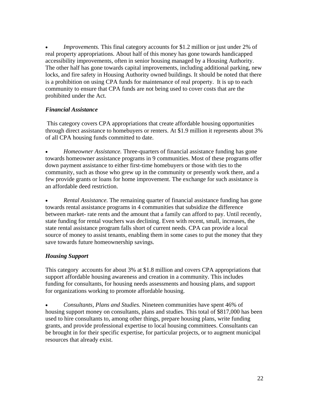• *Improvements.* This final category accounts for \$1.2 million or just under 2% of real property appropriations. About half of this money has gone towards handicapped accessibility improvements, often in senior housing managed by a Housing Authority. The other half has gone towards capital improvements, including additional parking, new locks, and fire safety in Housing Authority owned buildings. It should be noted that there is a prohibition on using CPA funds for maintenance of real property. It is up to each community to ensure that CPA funds are not being used to cover costs that are the prohibited under the Act.

# *Financial Assistance*

 This category covers CPA appropriations that create affordable housing opportunities through direct assistance to homebuyers or renters. At \$1.9 million it represents about 3% of all CPA housing funds committed to date.

• *Homeowner Assistance.* Three-quarters of financial assistance funding has gone towards homeowner assistance programs in 9 communities. Most of these programs offer down payment assistance to either first-time homebuyers or those with ties to the community, such as those who grew up in the community or presently work there, and a few provide grants or loans for home improvement. The exchange for such assistance is an affordable deed restriction.

• *Rental Assistance.* The remaining quarter of financial assistance funding has gone towards rental assistance programs in 4 communities that subsidize the difference between market- rate rents and the amount that a family can afford to pay. Until recently, state funding for rental vouchers was declining. Even with recent, small, increases, the state rental assistance program falls short of current needs. CPA can provide a local source of money to assist tenants, enabling them in some cases to put the money that they save towards future homeownership savings.

# *Housing Support*

This category accounts for about 3% at \$1.8 million and covers CPA appropriations that support affordable housing awareness and creation in a community. This includes funding for consultants, for housing needs assessments and housing plans, and support for organizations working to promote affordable housing.

• *Consultants, Plans and Studies.* Nineteen communities have spent 46% of housing support money on consultants, plans and studies. This total of \$817,000 has been used to hire consultants to, among other things, prepare housing plans, write funding grants, and provide professional expertise to local housing committees. Consultants can be brought in for their specific expertise, for particular projects, or to augment municipal resources that already exist.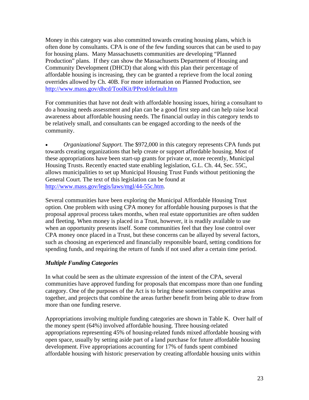Money in this category was also committed towards creating housing plans, which is often done by consultants. CPA is one of the few funding sources that can be used to pay for housing plans. Many Massachusetts communities are developing "Planned Production" plans. If they can show the Massachusetts Department of Housing and Community Development (DHCD) that along with this plan their percentage of affordable housing is increasing, they can be granted a reprieve from the local zoning overrides allowed by Ch. 40B. For more information on Planned Production, see http://www.mass.gov/dhcd/ToolKit/PProd/default.htm

For communities that have not dealt with affordable housing issues, hiring a consultant to do a housing needs assessment and plan can be a good first step and can help raise local awareness about affordable housing needs. The financial outlay in this category tends to be relatively small, and consultants can be engaged according to the needs of the community.

• *Organizational Support.* The \$972,000 in this category represents CPA funds put towards creating organizations that help create or support affordable housing. Most of these appropriations have been start-up grants for private or, more recently, Municipal Housing Trusts. Recently enacted state enabling legislation, G.L. Ch. 44, Sec. 55C, allows municipalities to set up Municipal Housing Trust Funds without petitioning the General Court. The text of this legislation can be found at http://www.mass.gov/legis/laws/mgl/44-55c.htm.

Several communities have been exploring the Municipal Affordable Housing Trust option. One problem with using CPA money for affordable housing purposes is that the proposal approval process takes months, when real estate opportunities are often sudden and fleeting. When money is placed in a Trust, however, it is readily available to use when an opportunity presents itself. Some communities feel that they lose control over CPA money once placed in a Trust, but these concerns can be allayed by several factors, such as choosing an experienced and financially responsible board, setting conditions for spending funds, and requiring the return of funds if not used after a certain time period.

# *Multiple Funding Categories*

In what could be seen as the ultimate expression of the intent of the CPA, several communities have approved funding for proposals that encompass more than one funding category. One of the purposes of the Act is to bring these sometimes competitive areas together, and projects that combine the areas further benefit from being able to draw from more than one funding reserve.

Appropriations involving multiple funding categories are shown in Table K. Over half of the money spent (64%) involved affordable housing. Three housing-related appropriations representing 45% of housing-related funds mixed affordable housing with open space, usually by setting aside part of a land purchase for future affordable housing development. Five appropriations accounting for 17% of funds spent combined affordable housing with historic preservation by creating affordable housing units within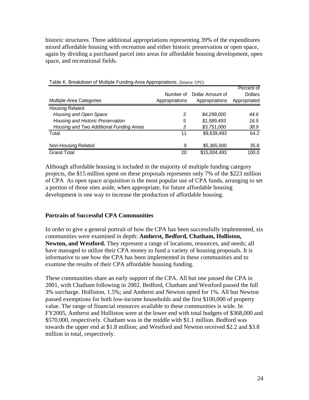historic structures. Three additional appropriations representing 39% of the expenditures mixed affordable housing with recreation and either historic preservation or open space, again by dividing a purchased parcel into areas for affordable housing development, open space, and recreational fields.

|                                          | Number of      | Dollar Amount of | Percent of<br><b>Dollars</b> |
|------------------------------------------|----------------|------------------|------------------------------|
| Multiple-Area Categories                 | Appropriations | Appropriations   | Appropriated                 |
| <b>Housing Related</b>                   |                |                  |                              |
| Housing and Open Space                   | 3              | \$4,299,000      | 44.6                         |
| Housing and Historic Preservation        | 5              | \$1,589,493      | 16.5                         |
| Housing and Two Additional Funding Areas | 3              | \$3,751,000      | 38.9                         |
| Total                                    | 11             | \$9,639,493      | 64.2                         |
| Non-Housing Related                      | 9              | \$5,365,000      | 35.8                         |
| <b>Grand Total</b>                       | 20             | \$15,004,493     | 100.0                        |

Table K. Breakdown of Multiple Funding-Area Appropriations. (Source: CPC)

Although affordable housing is included in the majority of multiple funding category projects, the \$15 million spent on these proposals represents only 7% of the \$223 million of CPA As open space acquisition is the most popular use of CPA funds, arranging to set a portion of those sites aside, when appropriate, for future affordable housing development is one way to increase the production of affordable housing.

#### **Portraits of Successful CPA Communities**

In order to give a general portrait of how the CPA has been successfully implemented, six communities were examined in depth: **Amherst, Bedford, Chatham, Holliston, Newton, and Westford.** They represent a range of locations, resources, and needs; all have managed to utilize their CPA money to fund a variety of housing proposals. It is informative to see how the CPA has been implemented in these communities and to examine the results of their CPA affordable housing funding.

These communities share an early support of the CPA. All but one passed the CPA in 2001, with Chatham following in 2002. Bedford, Chatham and Westford passed the full 3% surcharge. Holliston, 1.5%; and Amherst and Newton opted for 1%. All but Newton passed exemptions for both low-income households and the first \$100,000 of property value. The range of financial resources available to these communities is wide. In FY2005, Amherst and Holliston were at the lower end with total budgets of \$368,000 and \$570,000, respectively. Chatham was in the middle with \$1.1 million. Bedford was towards the upper end at \$1.8 million; and Westford and Newton received \$2.2 and \$3.8 million in total, respectively.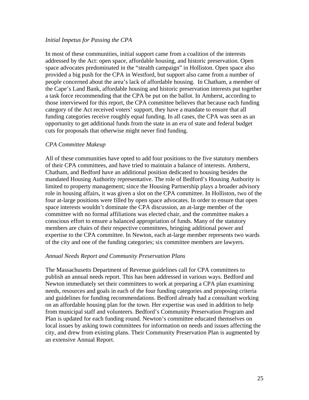#### *Initial Impetus for Passing the CPA*

In most of these communities, initial support came from a coalition of the interests addressed by the Act: open space, affordable housing, and historic preservation. Open space advocates predominated in the "stealth campaign" in Holliston. Open space also provided a big push for the CPA in Westford, but support also came from a number of people concerned about the area's lack of affordable housing. In Chatham, a member of the Cape's Land Bank, affordable housing and historic preservation interests put together a task force recommending that the CPA be put on the ballot. In Amherst, according to those interviewed for this report, the CPA committee believes that because each funding category of the Act received voters' support, they have a mandate to ensure that all funding categories receive roughly equal funding. In all cases, the CPA was seen as an opportunity to get additional funds from the state in an era of state and federal budget cuts for proposals that otherwise might never find funding.

#### *CPA Committee Makeup*

All of these communities have opted to add four positions to the five statutory members of their CPA committees, and have tried to maintain a balance of interests. Amherst, Chatham, and Bedford have an additional position dedicated to housing besides the mandated Housing Authority representative. The role of Bedford's Housing Authority is limited to property management; since the Housing Partnership plays a broader advisory role in housing affairs, it was given a slot on the CPA committee. In Holliston, two of the four at-large positions were filled by open space advocates. In order to ensure that open space interests wouldn't dominate the CPA discussion, an at-large member of the committee with no formal affiliations was elected chair, and the committee makes a conscious effort to ensure a balanced appropriation of funds. Many of the statutory members are chairs of their respective committees, bringing additional power and expertise to the CPA committee. In Newton, each at-large member represents two wards of the city and one of the funding categories; six committee members are lawyers.

#### *Annual Needs Report and Community Preservation Plans*

The Massachusetts Department of Revenue guidelines call for CPA committees to publish an annual needs report. This has been addressed in various ways. Bedford and Newton immediately set their committees to work at preparing a CPA plan examining needs, resources and goals in each of the four funding categories and proposing criteria and guidelines for funding recommendations. Bedford already had a consultant working on an affordable housing plan for the town. Her expertise was used in addition to help from municipal staff and volunteers. Bedford's Community Preservation Program and Plan is updated for each funding round. Newton's committee educated themselves on local issues by asking town committees for information on needs and issues affecting the city, and drew from existing plans. Their Community Preservation Plan is augmented by an extensive Annual Report.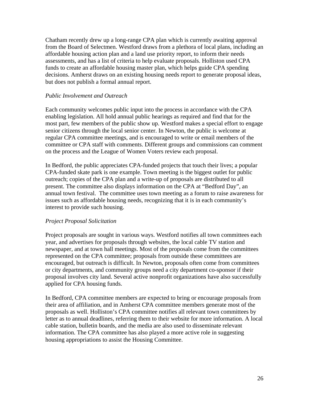Chatham recently drew up a long-range CPA plan which is currently awaiting approval from the Board of Selectmen. Westford draws from a plethora of local plans, including an affordable housing action plan and a land use priority report, to inform their needs assessments, and has a list of criteria to help evaluate proposals. Holliston used CPA funds to create an affordable housing master plan, which helps guide CPA spending decisions. Amherst draws on an existing housing needs report to generate proposal ideas, but does not publish a formal annual report.

#### *Public Involvement and Outreach*

Each community welcomes public input into the process in accordance with the CPA enabling legislation. All hold annual public hearings as required and find that for the most part, few members of the public show up. Westford makes a special effort to engage senior citizens through the local senior center. In Newton, the public is welcome at regular CPA committee meetings, and is encouraged to write or email members of the committee or CPA staff with comments. Different groups and commissions can comment on the process and the League of Women Voters review each proposal.

In Bedford, the public appreciates CPA-funded projects that touch their lives; a popular CPA-funded skate park is one example. Town meeting is the biggest outlet for public outreach; copies of the CPA plan and a write-up of proposals are distributed to all present. The committee also displays information on the CPA at "Bedford Day", an annual town festival. The committee uses town meeting as a forum to raise awareness for issues such as affordable housing needs, recognizing that it is in each community's interest to provide such housing.

# *Project Proposal Solicitation*

Project proposals are sought in various ways. Westford notifies all town committees each year, and advertises for proposals through websites, the local cable TV station and newspaper, and at town hall meetings. Most of the proposals come from the committees represented on the CPA committee; proposals from outside these committees are encouraged, but outreach is difficult. In Newton, proposals often come from committees or city departments, and community groups need a city department co-sponsor if their proposal involves city land. Several active nonprofit organizations have also successfully applied for CPA housing funds.

In Bedford, CPA committee members are expected to bring or encourage proposals from their area of affiliation, and in Amherst CPA committee members generate most of the proposals as well. Holliston's CPA committee notifies all relevant town committees by letter as to annual deadlines, referring them to their website for more information. A local cable station, bulletin boards, and the media are also used to disseminate relevant information. The CPA committee has also played a more active role in suggesting housing appropriations to assist the Housing Committee.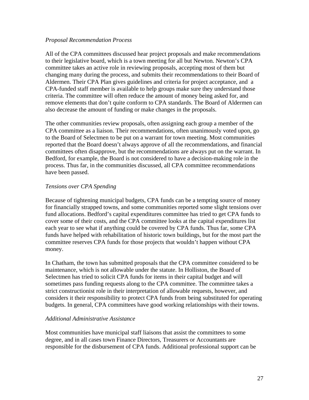#### *Proposal Recommendation Process*

All of the CPA committees discussed hear project proposals and make recommendations to their legislative board, which is a town meeting for all but Newton. Newton's CPA committee takes an active role in reviewing proposals, accepting most of them but changing many during the process, and submits their recommendations to their Board of Aldermen. Their CPA Plan gives guidelines and criteria for project acceptance, and a CPA-funded staff member is available to help groups make sure they understand those criteria. The committee will often reduce the amount of money being asked for, and remove elements that don't quite conform to CPA standards. The Board of Aldermen can also decrease the amount of funding or make changes in the proposals.

The other communities review proposals, often assigning each group a member of the CPA committee as a liaison. Their recommendations, often unanimously voted upon, go to the Board of Selectmen to be put on a warrant for town meeting. Most communities reported that the Board doesn't always approve of all the recommendations, and financial committees often disapprove, but the recommendations are always put on the warrant. In Bedford, for example, the Board is not considered to have a decision-making role in the process. Thus far, in the communities discussed, all CPA committee recommendations have been passed.

#### *Tensions over CPA Spending*

Because of tightening municipal budgets, CPA funds can be a tempting source of money for financially strapped towns, and some communities reported some slight tensions over fund allocations. Bedford's capital expenditures committee has tried to get CPA funds to cover some of their costs, and the CPA committee looks at the capital expenditures list each year to see what if anything could be covered by CPA funds. Thus far, some CPA funds have helped with rehabilitation of historic town buildings, but for the most part the committee reserves CPA funds for those projects that wouldn't happen without CPA money.

In Chatham, the town has submitted proposals that the CPA committee considered to be maintenance, which is not allowable under the statute. In Holliston, the Board of Selectmen has tried to solicit CPA funds for items in their capital budget and will sometimes pass funding requests along to the CPA committee. The committee takes a strict constructionist role in their interpretation of allowable requests, however, and considers it their responsibility to protect CPA funds from being substituted for operating budgets. In general, CPA committees have good working relationships with their towns.

#### *Additional Administrative Assistance*

Most communities have municipal staff liaisons that assist the committees to some degree, and in all cases town Finance Directors, Treasurers or Accountants are responsible for the disbursement of CPA funds. Additional professional support can be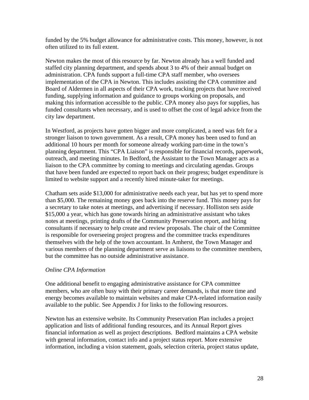funded by the 5% budget allowance for administrative costs. This money, however, is not often utilized to its full extent.

Newton makes the most of this resource by far. Newton already has a well funded and staffed city planning department, and spends about 3 to 4% of their annual budget on administration. CPA funds support a full-time CPA staff member, who oversees implementation of the CPA in Newton. This includes assisting the CPA committee and Board of Aldermen in all aspects of their CPA work, tracking projects that have received funding, supplying information and guidance to groups working on proposals, and making this information accessible to the public. CPA money also pays for supplies, has funded consultants when necessary, and is used to offset the cost of legal advice from the city law department.

In Westford, as projects have gotten bigger and more complicated, a need was felt for a stronger liaison to town government. As a result, CPA money has been used to fund an additional 10 hours per month for someone already working part-time in the town's planning department. This "CPA Liaison" is responsible for financial records, paperwork, outreach, and meeting minutes. In Bedford, the Assistant to the Town Manager acts as a liaison to the CPA committee by coming to meetings and circulating agendas. Groups that have been funded are expected to report back on their progress; budget expenditure is limited to website support and a recently hired minute-taker for meetings.

Chatham sets aside \$13,000 for administrative needs each year, but has yet to spend more than \$5,000. The remaining money goes back into the reserve fund. This money pays for a secretary to take notes at meetings, and advertising if necessary. Holliston sets aside \$15,000 a year, which has gone towards hiring an administrative assistant who takes notes at meetings, printing drafts of the Community Preservation report, and hiring consultants if necessary to help create and review proposals. The chair of the Committee is responsible for overseeing project progress and the committee tracks expenditures themselves with the help of the town accountant. In Amherst, the Town Manager and various members of the planning department serve as liaisons to the committee members, but the committee has no outside administrative assistance.

# *Online CPA Information*

One additional benefit to engaging administrative assistance for CPA committee members, who are often busy with their primary career demands, is that more time and energy becomes available to maintain websites and make CPA-related information easily available to the public. See Appendix J for links to the following resources.

Newton has an extensive website. Its Community Preservation Plan includes a project application and lists of additional funding resources, and its Annual Report gives financial information as well as project descriptions. Bedford maintains a CPA website with general information, contact info and a project status report. More extensive information, including a vision statement, goals, selection criteria, project status update,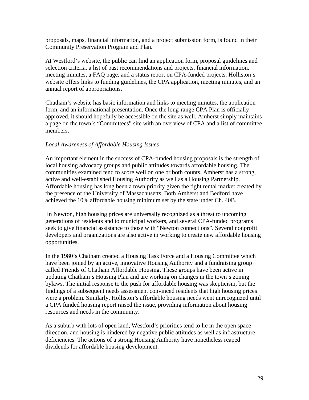proposals, maps, financial information, and a project submission form, is found in their Community Preservation Program and Plan.

At Westford's website, the public can find an application form, proposal guidelines and selection criteria, a list of past recommendations and projects, financial information, meeting minutes, a FAQ page, and a status report on CPA-funded projects. Holliston's website offers links to funding guidelines, the CPA application, meeting minutes, and an annual report of appropriations.

Chatham's website has basic information and links to meeting minutes, the application form, and an informational presentation. Once the long-range CPA Plan is officially approved, it should hopefully be accessible on the site as well. Amherst simply maintains a page on the town's "Committees" site with an overview of CPA and a list of committee members.

### *Local Awareness of Affordable Housing Issues*

An important element in the success of CPA-funded housing proposals is the strength of local housing advocacy groups and public attitudes towards affordable housing. The communities examined tend to score well on one or both counts. Amherst has a strong, active and well-established Housing Authority as well as a Housing Partnership. Affordable housing has long been a town priority given the tight rental market created by the presence of the University of Massachusetts. Both Amherst and Bedford have achieved the 10% affordable housing minimum set by the state under Ch. 40B.

 In Newton, high housing prices are universally recognized as a threat to upcoming generations of residents and to municipal workers, and several CPA-funded programs seek to give financial assistance to those with "Newton connections". Several nonprofit developers and organizations are also active in working to create new affordable housing opportunities.

In the 1980's Chatham created a Housing Task Force and a Housing Committee which have been joined by an active, innovative Housing Authority and a fundraising group called Friends of Chatham Affordable Housing. These groups have been active in updating Chatham's Housing Plan and are working on changes in the town's zoning bylaws. The initial response to the push for affordable housing was skepticism, but the findings of a subsequent needs assessment convinced residents that high housing prices were a problem. Similarly, Holliston's affordable housing needs went unrecognized until a CPA funded housing report raised the issue, providing information about housing resources and needs in the community.

As a suburb with lots of open land, Westford's priorities tend to lie in the open space direction, and housing is hindered by negative public attitudes as well as infrastructure deficiencies. The actions of a strong Housing Authority have nonetheless reaped dividends for affordable housing development.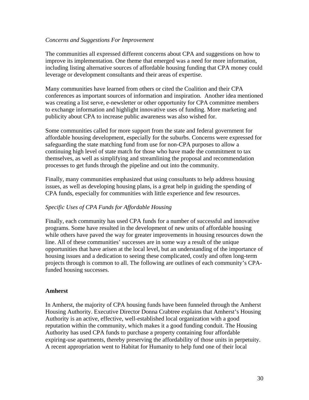#### *Concerns and Suggestions For Improvement*

The communities all expressed different concerns about CPA and suggestions on how to improve its implementation. One theme that emerged was a need for more information, including listing alternative sources of affordable housing funding that CPA money could leverage or development consultants and their areas of expertise.

Many communities have learned from others or cited the Coalition and their CPA conferences as important sources of information and inspiration. Another idea mentioned was creating a list serve, e-newsletter or other opportunity for CPA committee members to exchange information and highlight innovative uses of funding. More marketing and publicity about CPA to increase public awareness was also wished for.

Some communities called for more support from the state and federal government for affordable housing development, especially for the suburbs. Concerns were expressed for safeguarding the state matching fund from use for non-CPA purposes to allow a continuing high level of state match for those who have made the commitment to tax themselves, as well as simplifying and streamlining the proposal and recommendation processes to get funds through the pipeline and out into the community.

Finally, many communities emphasized that using consultants to help address housing issues, as well as developing housing plans, is a great help in guiding the spending of CPA funds, especially for communities with little experience and few resources.

#### *Specific Uses of CPA Funds for Affordable Housing*

Finally, each community has used CPA funds for a number of successful and innovative programs. Some have resulted in the development of new units of affordable housing while others have paved the way for greater improvements in housing resources down the line. All of these communities' successes are in some way a result of the unique opportunities that have arisen at the local level, but an understanding of the importance of housing issues and a dedication to seeing these complicated, costly and often long-term projects through is common to all. The following are outlines of each community's CPAfunded housing successes.

#### **Amherst**

In Amherst, the majority of CPA housing funds have been funneled through the Amherst Housing Authority. Executive Director Donna Crabtree explains that Amherst's Housing Authority is an active, effective, well-established local organization with a good reputation within the community, which makes it a good funding conduit. The Housing Authority has used CPA funds to purchase a property containing four affordable expiring-use apartments, thereby preserving the affordability of those units in perpetuity. A recent appropriation went to Habitat for Humanity to help fund one of their local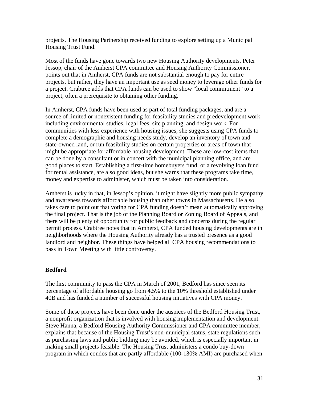projects. The Housing Partnership received funding to explore setting up a Municipal Housing Trust Fund.

Most of the funds have gone towards two new Housing Authority developments. Peter Jessop, chair of the Amherst CPA committee and Housing Authority Commissioner, points out that in Amherst, CPA funds are not substantial enough to pay for entire projects, but rather, they have an important use as seed money to leverage other funds for a project. Crabtree adds that CPA funds can be used to show "local commitment" to a project, often a prerequisite to obtaining other funding.

In Amherst, CPA funds have been used as part of total funding packages, and are a source of limited or nonexistent funding for feasibility studies and predevelopment work including environmental studies, legal fees, site planning, and design work. For communities with less experience with housing issues, she suggests using CPA funds to complete a demographic and housing needs study, develop an inventory of town and state-owned land, or run feasibility studies on certain properties or areas of town that might be appropriate for affordable housing development. These are low-cost items that can be done by a consultant or in concert with the municipal planning office, and are good places to start. Establishing a first-time homebuyers fund, or a revolving loan fund for rental assistance, are also good ideas, but she warns that these programs take time, money and expertise to administer, which must be taken into consideration.

Amherst is lucky in that, in Jessop's opinion, it might have slightly more public sympathy and awareness towards affordable housing than other towns in Massachusetts. He also takes care to point out that voting for CPA funding doesn't mean automatically approving the final project. That is the job of the Planning Board or Zoning Board of Appeals, and there will be plenty of opportunity for public feedback and concerns during the regular permit process. Crabtree notes that in Amherst, CPA funded housing developments are in neighborhoods where the Housing Authority already has a trusted presence as a good landlord and neighbor. These things have helped all CPA housing recommendations to pass in Town Meeting with little controversy.

# **Bedford**

The first community to pass the CPA in March of 2001, Bedford has since seen its percentage of affordable housing go from 4.5% to the 10% threshold established under 40B and has funded a number of successful housing initiatives with CPA money.

Some of these projects have been done under the auspices of the Bedford Housing Trust, a nonprofit organization that is involved with housing implementation and development. Steve Hanna, a Bedford Housing Authority Commissioner and CPA committee member, explains that because of the Housing Trust's non-municipal status, state regulations such as purchasing laws and public bidding may be avoided, which is especially important in making small projects feasible. The Housing Trust administers a condo buy-down program in which condos that are partly affordable (100-130% AMI) are purchased when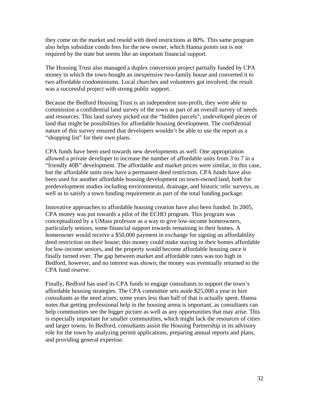they come on the market and resold with deed restrictions at 80%. This same program also helps subsidize condo fees for the new owner, which Hanna points out is not required by the state but seems like an important financial support.

The Housing Trust also managed a duplex conversion project partially funded by CPA money in which the town bought an inexpensive two-family house and converted it to two affordable condominiums. Local churches and volunteers got involved; the result was a successful project with strong public support.

Because the Bedford Housing Trust is an independent non-profit, they were able to commission a confidential land survey of the town as part of an overall survey of needs and resources. This land survey picked out the "hidden parcels", undeveloped pieces of land that might be possibilities for affordable housing development. The confidential nature of this survey ensured that developers wouldn't be able to use the report as a "shopping list" for their own plans.

CPA funds have been used towards new developments as well. One appropriation allowed a private developer to increase the number of affordable units from 3 to 7 in a "friendly 40B" development. The affordable and market prices were similar, in this case, but the affordable units now have a permanent deed restriction. CPA funds have also been used for another affordable housing development on town-owned land, both for predevelopment studies including environmental, drainage, and historic relic surveys, as well as to satisfy a town funding requirement as part of the total funding package.

Innovative approaches to affordable housing creation have also been funded. In 2005, CPA money was put towards a pilot of the ECHO program. This program was conceptualized by a UMass professor as a way to give low-income homeowners, particularly seniors, some financial support towards remaining in their homes. A homeowner would receive a \$50,000 payment in exchange for signing an affordability deed restriction on their house; this money could make staying in their homes affordable for low-income seniors, and the property would become affordable housing once it finally turned over. The gap between market and affordable rates was too high in Bedford, however, and no interest was shown; the money was eventually returned to the CPA fund reserve.

Finally, Bedford has used its CPA funds to engage consultants to support the town's affordable housing strategies. The CPA committee sets aside \$25,000 a year to hire consultants as the need arises; some years less than half of that is actually spent. Hanna notes that getting professional help in the housing arena is important, as consultants can help communities see the bigger picture as well as any opportunities that may arise. This is especially important for smaller communities, which might lack the resources of cities and larger towns. In Bedford, consultants assist the Housing Partnership in its advisory role for the town by analyzing permit applications, preparing annual reports and plans, and providing general expertise.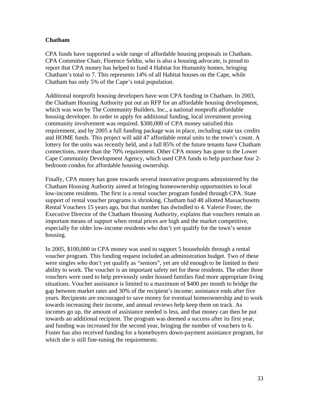#### **Chatham**

CPA funds have supported a wide range of affordable housing proposals in Chatham. CPA Committee Chair, Florence Seldin, who is also a housing advocate, is proud to report that CPA money has helped to fund 4 Habitat for Humanity homes, bringing Chatham's total to 7. This represents 14% of all Habitat houses on the Cape, while Chatham has only 5% of the Cape's total population.

Additional nonprofit housing developers have won CPA funding in Chatham. In 2003, the Chatham Housing Authority put out an RFP for an affordable housing development, which was won by The Community Builders, Inc., a national nonprofit affordable housing developer. In order to apply for additional funding, local investment proving community involvement was required. \$300,000 of CPA money satisfied this requirement, and by 2005 a full funding package was in place, including state tax credits and HOME funds. This project will add 47 affordable rental units to the town's count. A lottery for the units was recently held, and a full 85% of the future tenants have Chatham connections, more than the 70% requirement. Other CPA money has gone to the Lower Cape Community Development Agency, which used CPA funds to help purchase four 2 bedroom condos for affordable housing ownership.

Finally, CPA money has gone towards several innovative programs administered by the Chatham Housing Authority aimed at bringing homeownership opportunities to local low-income residents. The first is a rental voucher program funded through CPA. State support of rental voucher programs is shrinking. Chatham had 48 allotted Massachusetts Rental Vouchers 15 years ago, but that number has dwindled to 4. Valerie Foster, the Executive Director of the Chatham Housing Authority, explains that vouchers remain an important means of support when rental prices are high and the market competitive, especially for older low-income residents who don't yet qualify for the town's senior housing.

In 2005, \$100,000 in CPA money was used to support 5 households through a rental voucher program. This funding request included an administration budget. Two of these were singles who don't yet qualify as "seniors", yet are old enough to be limited in their ability to work. The voucher is an important safety net for these residents. The other three vouchers were used to help previously under housed families find more appropriate living situations. Voucher assistance is limited to a maximum of \$400 per month to bridge the gap between market rates and 30% of the recipient's income; assistance ends after five years. Recipients are encouraged to save money for eventual homeownership and to work towards increasing their income, and annual reviews help keep them on track. As incomes go up, the amount of assistance needed is less, and that money can then be put towards an additional recipient. The program was deemed a success after its first year, and funding was increased for the second year, bringing the number of vouchers to 6. Foster has also received funding for a homebuyers down-payment assistance program, for which she is still fine-tuning the requirements.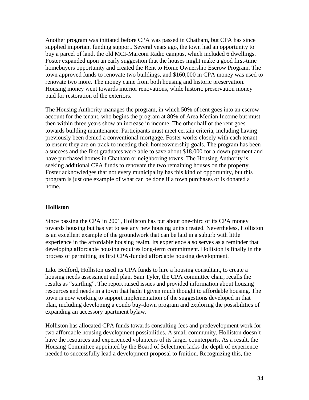Another program was initiated before CPA was passed in Chatham, but CPA has since supplied important funding support. Several years ago, the town had an opportunity to buy a parcel of land, the old MCI-Marconi Radio campus, which included 6 dwellings. Foster expanded upon an early suggestion that the houses might make a good first-time homebuyers opportunity and created the Rent to Home Ownership Escrow Program. The town approved funds to renovate two buildings, and \$160,000 in CPA money was used to renovate two more. The money came from both housing and historic preservation. Housing money went towards interior renovations, while historic preservation money paid for restoration of the exteriors.

The Housing Authority manages the program, in which 50% of rent goes into an escrow account for the tenant, who begins the program at 80% of Area Median Income but must then within three years show an increase in income. The other half of the rent goes towards building maintenance. Participants must meet certain criteria, including having previously been denied a conventional mortgage. Foster works closely with each tenant to ensure they are on track to meeting their homeownership goals. The program has been a success and the first graduates were able to save about \$18,000 for a down payment and have purchased homes in Chatham or neighboring towns. The Housing Authority is seeking additional CPA funds to renovate the two remaining houses on the property. Foster acknowledges that not every municipality has this kind of opportunity, but this program is just one example of what can be done if a town purchases or is donated a home.

#### **Holliston**

Since passing the CPA in 2001, Holliston has put about one-third of its CPA money towards housing but has yet to see any new housing units created. Nevertheless, Holliston is an excellent example of the groundwork that can be laid in a suburb with little experience in the affordable housing realm. Its experience also serves as a reminder that developing affordable housing requires long-term commitment. Holliston is finally in the process of permitting its first CPA-funded affordable housing development.

Like Bedford, Holliston used its CPA funds to hire a housing consultant, to create a housing needs assessment and plan. Sam Tyler, the CPA committee chair, recalls the results as "startling". The report raised issues and provided information about housing resources and needs in a town that hadn't given much thought to affordable housing. The town is now working to support implementation of the suggestions developed in that plan, including developing a condo buy-down program and exploring the possibilities of expanding an accessory apartment bylaw.

Holliston has allocated CPA funds towards consulting fees and predevelopment work for two affordable housing development possibilities. A small community, Holliston doesn't have the resources and experienced volunteers of its larger counterparts. As a result, the Housing Committee appointed by the Board of Selectmen lacks the depth of experience needed to successfully lead a development proposal to fruition. Recognizing this, the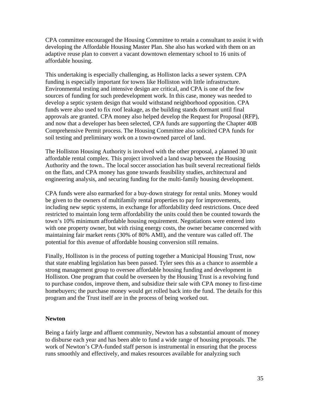CPA committee encouraged the Housing Committee to retain a consultant to assist it with developing the Affordable Housing Master Plan. She also has worked with them on an adaptive reuse plan to convert a vacant downtown elementary school to 16 units of affordable housing.

This undertaking is especially challenging, as Holliston lacks a sewer system. CPA funding is especially important for towns like Holliston with little infrastructure. Environmental testing and intensive design are critical, and CPA is one of the few sources of funding for such predevelopment work. In this case, money was needed to develop a septic system design that would withstand neighborhood opposition. CPA funds were also used to fix roof leakage, as the building stands dormant until final approvals are granted. CPA money also helped develop the Request for Proposal (RFP), and now that a developer has been selected, CPA funds are supporting the Chapter 40B Comprehensive Permit process. The Housing Committee also solicited CPA funds for soil testing and preliminary work on a town-owned parcel of land.

The Holliston Housing Authority is involved with the other proposal, a planned 30 unit affordable rental complex. This project involved a land swap between the Housing Authority and the town.. The local soccer association has built several recreational fields on the flats, and CPA money has gone towards feasibility studies, architectural and engineering analysis, and securing funding for the multi-family housing development.

CPA funds were also earmarked for a buy-down strategy for rental units. Money would be given to the owners of multifamily rental properties to pay for improvements, including new septic systems, in exchange for affordability deed restrictions. Once deed restricted to maintain long term affordability the units could then be counted towards the town's 10% minimum affordable housing requirement. Negotiations were entered into with one property owner, but with rising energy costs, the owner became concerned with maintaining fair market rents (30% of 80% AMI), and the venture was called off. The potential for this avenue of affordable housing conversion still remains.

Finally, Holliston is in the process of putting together a Municipal Housing Trust, now that state enabling legislation has been passed. Tyler sees this as a chance to assemble a strong management group to oversee affordable housing funding and development in Holliston. One program that could be overseen by the Housing Trust is a revolving fund to purchase condos, improve them, and subsidize their sale with CPA money to first-time homebuyers; the purchase money would get rolled back into the fund. The details for this program and the Trust itself are in the process of being worked out.

#### **Newton**

Being a fairly large and affluent community, Newton has a substantial amount of money to disburse each year and has been able to fund a wide range of housing proposals. The work of Newton's CPA-funded staff person is instrumental in ensuring that the process runs smoothly and effectively, and makes resources available for analyzing such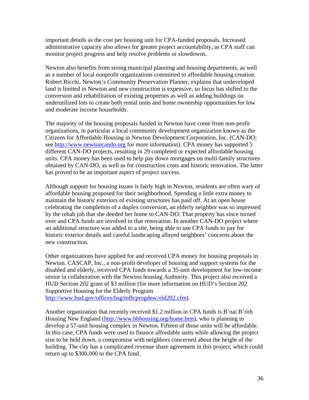important details as the cost per housing unit for CPA-funded proposals. Increased administrative capacity also allows for greater project accountability, as CPA staff can monitor project progress and help resolve problems or slowdowns.

Newton also benefits from strong municipal planning and housing departments, as well as a number of local nonprofit organizations committed to affordable housing creation. Robert Ricchi, Newton's Community Preservation Planner, explains that undeveloped land is limited in Newton and new construction is expensive, so focus has shifted to the conversion and rehabilitation of existing properties as well as adding buildings on underutilized lots to create both rental units and home ownership opportunities for low and moderate income households.

The majority of the housing proposals funded in Newton have come from non-profit organizations, in particular a local community development organization known as the Citizens for Affordable Housing in Newton Development Corporation, Inc. (CAN-DO; see http://www.newtoncando.org for more information). CPA money has supported 5 different CAN-DO projects, resulting in 29 completed or expected affordable housing units. CPA money has been used to help pay down mortgages on multi-family structures obtained by CAN-DO, as well as for construction costs and historic renovation. The latter has proved to be an important aspect of project success.

Although support for housing issues is fairly high in Newton, residents are often wary of affordable housing proposed for their neighborhood. Spending a little extra money to maintain the historic exteriors of existing structures has paid off. At an open house celebrating the completion of a duplex conversion, an elderly neighbor was so impressed by the rehab job that she deeded her home to CAN-DO. That property has since turned over and CPA funds are involved in that renovation. In another CAN-DO project where an additional structure was added to a site, being able to use CPA funds to pay for historic exterior details and careful landscaping allayed neighbors' concerns about the new construction.

Other organizations have applied for and received CPA money for housing proposals in Newton. CASCAP, Inc., a non-profit developer of housing and support systems for the disabled and elderly, received CPA funds towards a 35-unit development for low-income senior in collaboration with the Newton housing Authority. This project also received a HUD Section 202 grant of \$3 million (for more information on HUD's Section 202 Supportive Housing for the Elderly Program

http://www.hud.gov/offices/hsg/mfh/progdesc/eld202.cfm).

Another organization that recently received \$1.2 million in CPA funds is B'nai B'rith Housing New England (http://www.bbhousing.org/home.htm), who is planning to develop a 57-unit housing complex in Newton. Fifteen of those units will be affordable. In this case, CPA funds were used to finance affordable units while allowing the project size to be held down, a compromise with neighbors concerned about the height of the building. The city has a complicated revenue share agreement in this project, which could return up to \$300,000 to the CPA fund.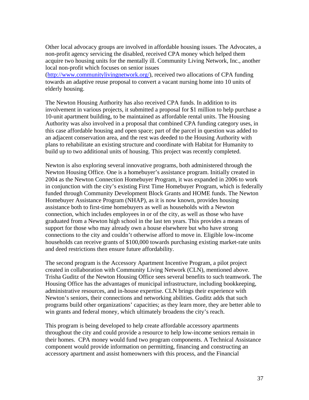Other local advocacy groups are involved in affordable housing issues. The Advocates, a non-profit agency servicing the disabled, received CPA money which helped them acquire two housing units for the mentally ill. Community Living Network, Inc., another local non-profit which focuses on senior issues

(http://www.communitylivingnetwork.org/), received two allocations of CPA funding towards an adaptive reuse proposal to convert a vacant nursing home into 10 units of elderly housing.

The Newton Housing Authority has also received CPA funds. In addition to its involvement in various projects, it submitted a proposal for \$1 million to help purchase a 10-unit apartment building, to be maintained as affordable rental units. The Housing Authority was also involved in a proposal that combined CPA funding category uses, in this case affordable housing and open space; part of the parcel in question was added to an adjacent conservation area, and the rest was deeded to the Housing Authority with plans to rehabilitate an existing structure and coordinate with Habitat for Humanity to build up to two additional units of housing. This project was recently completed.

Newton is also exploring several innovative programs, both administered through the Newton Housing Office. One is a homebuyer's assistance program. Initially created in 2004 as the Newton Connection Homebuyer Program, it was expanded in 2006 to work in conjunction with the city's existing First Time Homebuyer Program, which is federally funded through Community Development Block Grants and HOME funds. The Newton Homebuyer Assistance Program (NHAP), as it is now known, provides housing assistance both to first-time homebuyers as well as households with a Newton connection, which includes employees in or of the city, as well as those who have graduated from a Newton high school in the last ten years. This provides a means of support for those who may already own a house elsewhere but who have strong connections to the city and couldn't otherwise afford to move in. Eligible low-income households can receive grants of \$100,000 towards purchasing existing market-rate units and deed restrictions then ensure future affordability.

The second program is the Accessory Apartment Incentive Program, a pilot project created in collaboration with Community Living Network (CLN), mentioned above. Trisha Guditz of the Newton Housing Office sees several benefits to such teamwork. The Housing Office has the advantages of municipal infrastructure, including bookkeeping, administrative resources, and in-house expertise. CLN brings their experience with Newton's seniors, their connections and networking abilities. Guditz adds that such programs build other organizations' capacities; as they learn more, they are better able to win grants and federal money, which ultimately broadens the city's reach.

This program is being developed to help create affordable accessory apartments throughout the city and could provide a resource to help low-income seniors remain in their homes. CPA money would fund two program components. A Technical Assistance component would provide information on permitting, financing and constructing an accessory apartment and assist homeowners with this process, and the Financial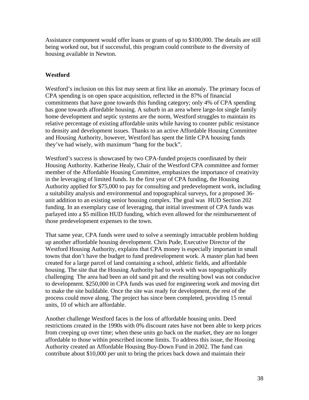Assistance component would offer loans or grants of up to \$100,000. The details are still being worked out, but if successful, this program could contribute to the diversity of housing available in Newton.

# **Westford**

Westford's inclusion on this list may seem at first like an anomaly. The primary focus of CPA spending is on open space acquisition, reflected in the 87% of financial commitments that have gone towards this funding category; only 4% of CPA spending has gone towards affordable housing. A suburb in an area where large-lot single family home development and septic systems are the norm, Westford struggles to maintain its relative percentage of existing affordable units while having to counter public resistance to density and development issues. Thanks to an active Affordable Housing Committee and Housing Authority, however, Westford has spent the little CPA housing funds they've had wisely, with maximum "bang for the buck".

Westford's success is showcased by two CPA-funded projects coordinated by their Housing Authority. Katherine Healy, Chair of the Westford CPA committee and former member of the Affordable Housing Committee, emphasizes the importance of creativity in the leveraging of limited funds. In the first year of CPA funding, the Housing Authority applied for \$75,000 to pay for consulting and predevelopment work, including a suitability analysis and environmental and topographical surveys, for a proposed 36 unit addition to an existing senior housing complex. The goal was HUD Section 202 funding. In an exemplary case of leveraging, that initial investment of CPA funds was parlayed into a \$5 million HUD funding, which even allowed for the reimbursement of those predevelopment expenses to the town.

That same year, CPA funds were used to solve a seemingly intractable problem holding up another affordable housing development. Chris Pude, Executive Director of the Westford Housing Authority, explains that CPA money is especially important in small towns that don't have the budget to fund predevelopment work. A master plan had been created for a large parcel of land containing a school, athletic fields, and affordable housing. The site that the Housing Authority had to work with was topographically challenging The area had been an old sand pit and the resulting bowl was not conducive to development. \$250,000 in CPA funds was used for engineering work and moving dirt to make the site buildable. Once the site was ready for development, the rest of the process could move along. The project has since been completed, providing 15 rental units, 10 of which are affordable.

Another challenge Westford faces is the loss of affordable housing units. Deed restrictions created in the 1990s with 0% discount rates have not been able to keep prices from creeping up over time; when these units go back on the market, they are no longer affordable to those within prescribed income limits. To address this issue, the Housing Authority created an Affordable Housing Buy-Down Fund in 2002. The fund can contribute about \$10,000 per unit to bring the prices back down and maintain their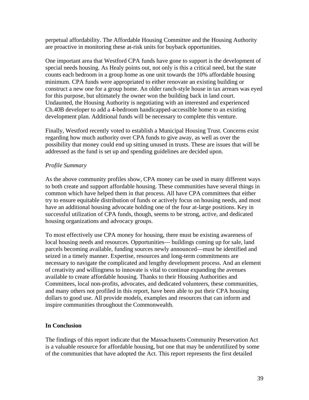perpetual affordability. The Affordable Housing Committee and the Housing Authority are proactive in monitoring these at-risk units for buyback opportunities.

One important area that Westford CPA funds have gone to support is the development of special needs housing. As Healy points out, not only is this a critical need, but the state counts each bedroom in a group home as one unit towards the 10% affordable housing minimum. CPA funds were appropriated to either renovate an existing building or construct a new one for a group home. An older ranch-style house in tax arrears was eyed for this purpose, but ultimately the owner won the building back in land court. Undaunted, the Housing Authority is negotiating with an interested and experienced Ch.40B developer to add a 4-bedroom handicapped-accessible home to an existing development plan. Additional funds will be necessary to complete this venture.

Finally, Westford recently voted to establish a Municipal Housing Trust. Concerns exist regarding how much authority over CPA funds to give away, as well as over the possibility that money could end up sitting unused in trusts. These are issues that will be addressed as the fund is set up and spending guidelines are decided upon.

# *Profile Summary*

As the above community profiles show, CPA money can be used in many different ways to both create and support affordable housing. These communities have several things in common which have helped them in that process. All have CPA committees that either try to ensure equitable distribution of funds or actively focus on housing needs, and most have an additional housing advocate holding one of the four at-large positions. Key in successful utilization of CPA funds, though, seems to be strong, active, and dedicated housing organizations and advocacy groups.

To most effectively use CPA money for housing, there must be existing awareness of local housing needs and resources. Opportunities— buildings coming up for sale, land parcels becoming available, funding sources newly announced—must be identified and seized in a timely manner. Expertise, resources and long-term commitments are necessary to navigate the complicated and lengthy development process. And an element of creativity and willingness to innovate is vital to continue expanding the avenues available to create affordable housing. Thanks to their Housing Authorities and Committees, local non-profits, advocates, and dedicated volunteers, these communities, and many others not profiled in this report, have been able to put their CPA housing dollars to good use. All provide models, examples and resources that can inform and inspire communities throughout the Commonwealth.

# **In Conclusion**

The findings of this report indicate that the Massachusetts Community Preservation Act is a valuable resource for affordable housing, but one that may be underutilized by some of the communities that have adopted the Act. This report represents the first detailed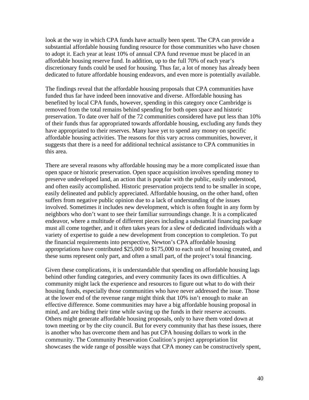look at the way in which CPA funds have actually been spent. The CPA can provide a substantial affordable housing funding resource for those communities who have chosen to adopt it. Each year at least 10% of annual CPA fund revenue must be placed in an affordable housing reserve fund. In addition, up to the full 70% of each year's discretionary funds could be used for housing. Thus far, a lot of money has already been dedicated to future affordable housing endeavors, and even more is potentially available.

The findings reveal that the affordable housing proposals that CPA communities have funded thus far have indeed been innovative and diverse. Affordable housing has benefited by local CPA funds, however, spending in this category once Cambridge is removed from the total remains behind spending for both open space and historic preservation. To date over half of the 72 communities considered have put less than 10% of their funds thus far appropriated towards affordable housing, excluding any funds they have appropriated to their reserves. Many have yet to spend any money on specific affordable housing activities. The reasons for this vary across communities, however, it suggests that there is a need for additional technical assistance to CPA communities in this area.

There are several reasons why affordable housing may be a more complicated issue than open space or historic preservation. Open space acquisition involves spending money to preserve undeveloped land, an action that is popular with the public, easily understood, and often easily accomplished. Historic preservation projects tend to be smaller in scope, easily delineated and publicly appreciated. Affordable housing, on the other hand, often suffers from negative public opinion due to a lack of understanding of the issues involved. Sometimes it includes new development, which is often fought in any form by neighbors who don't want to see their familiar surroundings change. It is a complicated endeavor, where a multitude of different pieces including a substantial financing package must all come together, and it often takes years for a slew of dedicated individuals with a variety of expertise to guide a new development from conception to completion. To put the financial requirements into perspective, Newton's CPA affordable housing appropriations have contributed \$25,000 to \$175,000 to each unit of housing created, and these sums represent only part, and often a small part, of the project's total financing.

Given these complications, it is understandable that spending on affordable housing lags behind other funding categories, and every community faces its own difficulties. A community might lack the experience and resources to figure out what to do with their housing funds, especially those communities who have never addressed the issue. Those at the lower end of the revenue range might think that 10% isn't enough to make an effective difference. Some communities may have a big affordable housing proposal in mind, and are biding their time while saving up the funds in their reserve accounts. Others might generate affordable housing proposals, only to have them voted down at town meeting or by the city council. But for every community that has these issues, there is another who has overcome them and has put CPA housing dollars to work in the community. The Community Preservation Coalition's project appropriation list showcases the wide range of possible ways that CPA money can be constructively spent,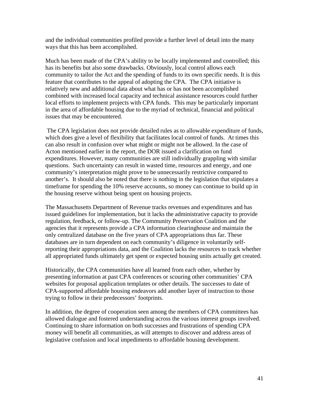and the individual communities profiled provide a further level of detail into the many ways that this has been accomplished.

Much has been made of the CPA's ability to be locally implemented and controlled; this has its benefits but also some drawbacks. Obviously, local control allows each community to tailor the Act and the spending of funds to its own specific needs. It is this feature that contributes to the appeal of adopting the CPA. The CPA initiative is relatively new and additional data about what has or has not been accomplished combined with increased local capacity and technical assistance resources could further local efforts to implement projects with CPA funds. This may be particularly important in the area of affordable housing due to the myriad of technical, financial and political issues that may be encountered.

 The CPA legislation does not provide detailed rules as to allowable expenditure of funds, which does give a level of flexibility that facilitates local control of funds. At times this can also result in confusion over what might or might not be allowed. In the case of Acton mentioned earlier in the report, the DOR issued a clarification on fund expenditures. However, many communities are still individually grappling with similar questions. Such uncertainty can result in wasted time, resources and energy, and one community's interpretation might prove to be unnecessarily restrictive compared to another's. It should also be noted that there is nothing in the legislation that stipulates a timeframe for spending the 10% reserve accounts, so money can continue to build up in the housing reserve without being spent on housing projects.

The Massachusetts Department of Revenue tracks revenues and expenditures and has issued guidelines for implementation, but it lacks the administrative capacity to provide regulation, feedback, or follow-up. The Community Preservation Coalition and the agencies that it represents provide a CPA information clearinghouse and maintain the only centralized database on the five years of CPA appropriations thus far. These databases are in turn dependent on each community's diligence in voluntarily selfreporting their appropriations data, and the Coalition lacks the resources to track whether all appropriated funds ultimately get spent or expected housing units actually get created.

Historically, the CPA communities have all learned from each other, whether by presenting information at past CPA conferences or scouring other communities' CPA websites for proposal application templates or other details. The successes to date of CPA-supported affordable housing endeavors add another layer of instruction to those trying to follow in their predecessors' footprints.

In addition, the degree of cooperation seen among the members of CPA committees has allowed dialogue and fostered understanding across the various interest groups involved. Continuing to share information on both successes and frustrations of spending CPA money will benefit all communities, as will attempts to discover and address areas of legislative confusion and local impediments to affordable housing development.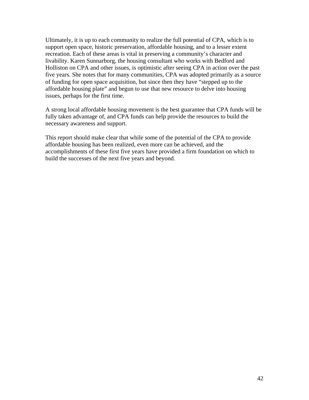Ultimately, it is up to each community to realize the full potential of CPA, which is to support open space, historic preservation, affordable housing, and to a lesser extent recreation. Each of these areas is vital in preserving a community's character and livability. Karen Sunnarborg, the housing consultant who works with Bedford and Holliston on CPA and other issues, is optimistic after seeing CPA in action over the past five years. She notes that for many communities, CPA was adopted primarily as a source of funding for open space acquisition, but since then they have "stepped up to the affordable housing plate" and begun to use that new resource to delve into housing issues, perhaps for the first time.

A strong local affordable housing movement is the best guarantee that CPA funds will be fully taken advantage of, and CPA funds can help provide the resources to build the necessary awareness and support.

This report should make clear that while some of the potential of the CPA to provide affordable housing has been realized, even more can be achieved, and the accomplishments of these first five years have provided a firm foundation on which to build the successes of the next five years and beyond.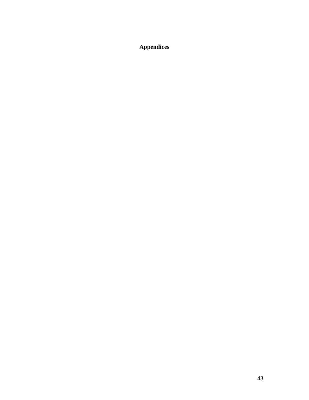**Appendices**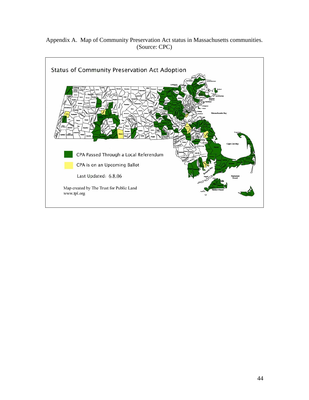# Appendix A. Map of Community Preservation Act status in Massachusetts communities. (Source: CPC)

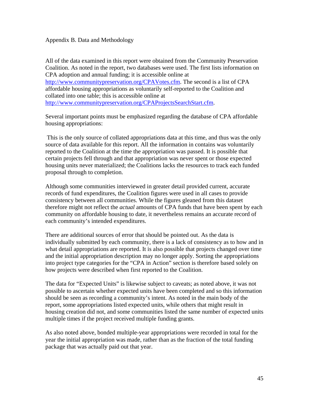### Appendix B. Data and Methodology

All of the data examined in this report were obtained from the Community Preservation Coalition. As noted in the report, two databases were used. The first lists information on CPA adoption and annual funding; it is accessible online at http://www.communitypreservation.org/CPAVotes.cfm. The second is a list of CPA affordable housing appropriations as voluntarily self-reported to the Coalition and collated into one table; this is accessible online at http://www.communitypreservation.org/CPAProjectsSearchStart.cfm.

Several important points must be emphasized regarding the database of CPA affordable housing appropriations:

 This is the only source of collated appropriations data at this time, and thus was the only source of data available for this report. All the information in contains was voluntarily reported to the Coalition at the time the appropriation was passed. It is possible that certain projects fell through and that appropriation was never spent or those expected housing units never materialized; the Coalitions lacks the resources to track each funded proposal through to completion.

Although some communities interviewed in greater detail provided current, accurate records of fund expenditures, the Coalition figures were used in all cases to provide consistency between all communities. While the figures gleaned from this dataset therefore might not reflect the *actual* amounts of CPA funds that have been spent by each community on affordable housing to date, it nevertheless remains an accurate record of each community's intended expenditures.

There are additional sources of error that should be pointed out. As the data is individually submitted by each community, there is a lack of consistency as to how and in what detail appropriations are reported. It is also possible that projects changed over time and the initial appropriation description may no longer apply. Sorting the appropriations into project type categories for the "CPA in Action" section is therefore based solely on how projects were described when first reported to the Coalition.

The data for "Expected Units" is likewise subject to caveats; as noted above, it was not possible to ascertain whether expected units have been completed and so this information should be seen as recording a community's intent. As noted in the main body of the report, some appropriations listed expected units, while others that might result in housing creation did not, and some communities listed the same number of expected units multiple times if the project received multiple funding grants.

As also noted above, bonded multiple-year appropriations were recorded in total for the year the initial appropriation was made, rather than as the fraction of the total funding package that was actually paid out that year.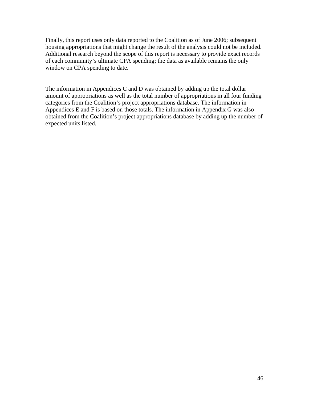Finally, this report uses only data reported to the Coalition as of June 2006; subsequent housing appropriations that might change the result of the analysis could not be included. Additional research beyond the scope of this report is necessary to provide exact records of each community's ultimate CPA spending; the data as available remains the only window on CPA spending to date.

The information in Appendices C and D was obtained by adding up the total dollar amount of appropriations as well as the total number of appropriations in all four funding categories from the Coalition's project appropriations database. The information in Appendices E and F is based on those totals. The information in Appendix G was also obtained from the Coalition's project appropriations database by adding up the number of expected units listed.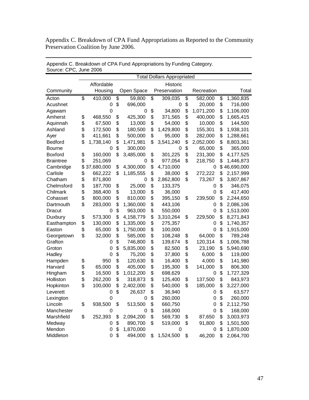Appendix C. Breakdown of CPA Fund Appropriations as Reported to the Community Preservation Coalition by June 2006.

|                  | <b>Total Dollars Appropriated</b> |            |    |            |    |              |                 |                  |
|------------------|-----------------------------------|------------|----|------------|----|--------------|-----------------|------------------|
|                  |                                   | Affordable |    |            |    | Historic     |                 |                  |
| Community        |                                   | Housing    |    | Open Space |    | Preservation | Recreation      | Total            |
| Acton            | $\overline{\mathcal{S}}$          | 410,000    | \$ | 59,800     | \$ | 309,035      | \$<br>582,000   | \$<br>1,360,835  |
| Acushnet         |                                   | 0          | \$ | 696,000    |    | 0            | \$<br>20,000    | \$<br>716,000    |
| Agawam           |                                   | 0          |    | 0          | \$ | 34,800       | \$<br>1,071,200 | \$<br>1,106,000  |
| Amherst          | \$                                | 468,550    | \$ | 425,300    | \$ | 371,565      | \$<br>400,000   | \$<br>1,665,415  |
| Aquinnah         | \$                                | 67,500     | \$ | 13,000     | \$ | 54,000       | \$<br>10,000    | \$<br>144,500    |
| Ashland          | \$                                | 172,500    | \$ | 180,500    | \$ | 1,429,800    | \$<br>155,301   | \$<br>1,938,101  |
| Ayer             | \$                                | 411,661    | \$ | 500,000    | \$ | 95,000       | \$<br>282,000   | \$<br>1,288,661  |
| Bedford          | \$                                | 1,738,140  | \$ | 1,471,981  | \$ | 3,541,240    | \$<br>2,052,000 | \$<br>8,803,361  |
| <b>Bourne</b>    |                                   | 0          | \$ | 300,000    |    | 0            | \$<br>65,000    | \$<br>365,000    |
| <b>Boxford</b>   | \$                                | 160,000    | \$ | 3,485,000  | \$ | 301,225      | \$<br>231,300   | \$<br>4,177,525  |
| <b>Braintree</b> | \$                                | 251,069    |    | 0          | \$ | 977,054      | \$<br>218,750   | \$<br>1,446,873  |
| Cambridge        | \$                                | 37,680,000 | \$ | 4,300,000  | \$ | 4,710,000    | 0               | \$<br>46,690,000 |
| Carlisle         | \$                                | 662,222    | \$ | 1,185,555  | \$ | 38,000       | \$<br>272,222   | \$<br>2,157,999  |
| Chatham          | \$                                | 871,800    |    | 0          | \$ | 2,862,800    | \$<br>73,267    | \$<br>3,807,867  |
| Chelmsford       | \$                                | 187,700    | \$ | 25,000     | \$ | 133,375      | 0               | \$<br>346,075    |
| Chilmark         | \$                                | 368,400    | \$ | 13,000     | \$ | 36,000       | 0               | \$<br>417,400    |
| Cohasset         | \$                                | 800,000    | \$ | 810,000    | \$ | 395,150      | \$<br>239,500   | \$<br>2,244,650  |
| Dartmouth        | \$                                | 283,000    | \$ | 1,360,000  | \$ | 443,106      | 0               | \$<br>2,086,106  |
| Dracut           |                                   | 0          | \$ | 963,000    | \$ | 550,000      | 0               | \$<br>1,513,000  |
| Duxbury          | \$                                | 573,300    | \$ | 4,158,779  | \$ | 3,310,264    | \$<br>229,500   | \$<br>8,271,843  |
| Easthampton      | \$                                | 130,000    | \$ | 1,335,000  | \$ | 275,357      | 0               | \$<br>1,740,357  |
| Easton           | \$                                | 65,000     | \$ | 1,750,000  | \$ | 100,000      | 0               | \$<br>1,915,000  |
| Georgetown       | \$                                | 32,000     | \$ | 585,000    | \$ | 108,248      | \$<br>64,000    | \$<br>789,248    |
| Grafton          |                                   | 0          | \$ | 746,800    | \$ | 139,674      | \$<br>120,314   | \$<br>1,006,788  |
| Groton           |                                   | 0          | \$ | 5,835,000  | \$ | 82,500       | \$<br>23,190    | \$<br>5,940,690  |
| Hadley           |                                   | 0          | \$ | 75,200     | \$ | 37,800       | \$<br>6,000     | \$<br>119,000    |
| Hampden          | \$                                | 950        | \$ | 120,630    | \$ | 16,400       | \$<br>4,000     | \$<br>141,980    |
| Harvard          | \$                                | 65,000     | \$ | 405,000    | \$ | 195,300      | \$<br>141,000   | \$<br>806,300    |
| Hingham          | \$                                | 16,500     | \$ | 1,012,200  | \$ | 698,629      | 0               | \$<br>1,727,329  |
| Holliston        | \$                                | 262,200    | \$ | 318,873    | \$ | 125,400      | \$<br>137,500   | \$<br>843,973    |
| Hopkinton        | \$                                | 100,000    | \$ | 2,402,000  | \$ | 540,000      | \$<br>185,000   | \$<br>3,227,000  |
| Leverett         |                                   | 0          | \$ | 26,637     | \$ | 36,940       | 0               | \$<br>63,577     |
| Lexington        |                                   | 0          |    | 0          | \$ | 260,000      | $\Omega$        | \$<br>260,000    |
| Lincoln          | \$                                | 938,500    | \$ | 513,500    | \$ | 660,750      | 0               | \$<br>2,112,750  |
| Manchester       |                                   | 0          |    | 0          | \$ | 168,000      | 0               | \$<br>168,000    |
| Marshfield       | \$                                | 252,393    | \$ | 2,094,200  | \$ | 569,730      | \$<br>87,650    | \$<br>3,003,973  |
| Medway           |                                   | 0          | \$ | 890,700    | \$ | 519,000      | \$<br>91,800    | \$<br>1,501,500  |
| Mendon           |                                   | 0          | \$ | 1,870,000  |    | 0            | 0               | \$<br>1,870,000  |
| Middleton        |                                   | 0          | \$ | 494,000    | \$ | 1,524,500    | \$<br>46,200    | \$<br>2,064,700  |

Appendix C. Breakdown of CPA Fund Appropriations by Funding Category. Source: CPC, June 2006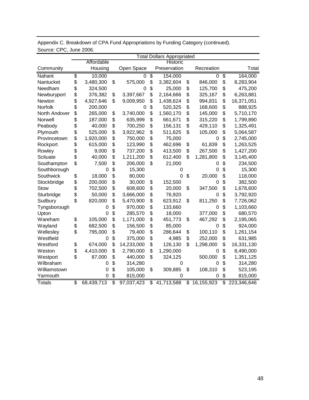|               | <b>Total Dollars Appropriated</b> |            |    |            |    |              |                            |                   |
|---------------|-----------------------------------|------------|----|------------|----|--------------|----------------------------|-------------------|
|               |                                   | Affordable |    |            |    | Historic     |                            |                   |
| Community     |                                   | Housing    |    | Open Space |    | Preservation | Recreation                 | Total             |
| Nahant        | \$                                | 10,000     |    | 0          | \$ | 154,000      | 0                          | \$<br>164,000     |
| Nantucket     | \$                                | 3,480,300  | \$ | 575,000    | \$ | 3,382,604    | \$<br>846,000              | \$<br>8,283,904   |
| Needham       | \$                                | 324,500    |    | 0          | \$ | 25,000       | \$<br>125,700              | \$<br>475,200     |
| Newburyport   | \$                                | 376,382    | \$ | 3,397,667  | \$ | 2,164,666    | \$<br>325,167              | \$<br>6,263,881   |
| Newton        | \$                                | 4,927,646  | \$ | 9,009,950  | \$ | 1,438,624    | \$<br>994,831              | \$<br>16,371,051  |
| Norfolk       | \$                                | 200,000    |    | 0          | \$ | 520,325      | \$<br>168,600              | \$<br>888,925     |
| North Andover | \$                                | 265,000    | \$ | 3,740,000  | \$ | 1,560,170    | \$<br>145,000              | \$<br>5,710,170   |
| Norwell       | \$                                | 187,000    | \$ | 635,999    | \$ | 661,671      | \$<br>315,220              | \$<br>1,799,890   |
| Peabody       | \$                                | 40,000     | \$ | 700,250    | \$ | 156,131      | \$<br>429,110              | \$<br>1,325,491   |
| Plymouth      | \$                                | 525,000    | \$ | 3,922,962  | \$ | 511,625      | \$<br>105,000              | \$<br>5,064,587   |
| Provincetown  | \$                                | 1,920,000  | \$ | 750,000    | \$ | 75,000       | 0                          | \$<br>2,745,000   |
| Rockport      | \$                                | 615,000    | \$ | 123,990    | \$ | 462,696      | \$<br>61,839               | \$<br>1,263,525   |
| Rowley        | \$                                | 9,000      | \$ | 737,200    | \$ | 413,500      | \$<br>267,500              | \$<br>1,427,200   |
| Scituate      | \$                                | 40,000     | \$ | 1,211,200  | \$ | 612,400      | \$<br>1,281,800            | \$<br>3,145,400   |
| Southampton   | \$                                | 7,500      | \$ | 206,000    | \$ | 21,000       | 0                          | \$<br>234,500     |
| Southborough  |                                   | 0          | \$ | 15,300     |    | 0            | 0                          | \$<br>15,300      |
| Southwick     | \$                                | 18,000     | \$ | 80,000     |    | 0            | \$<br>20,000               | \$<br>118,000     |
| Stockbridge   | \$                                | 200,000    | \$ | 30,000     | \$ | 152,500      | 0                          | \$<br>382,500     |
| <b>Stow</b>   | \$                                | 702,500    | \$ | 608,600    | \$ | 20,000       | \$<br>347,500              | \$<br>1,678,600   |
| Sturbridge    | \$                                | 50,000     | \$ | 3,666,000  | \$ | 76,920       | O                          | \$<br>3,792,920   |
| Sudbury       | \$                                | 820,000    | \$ | 5,470,900  | \$ | 623,912      | \$<br>811,250              | \$<br>7,726,062   |
| Tyngsborough  |                                   | 0          | \$ | 970,000    | \$ | 133,660      | 0                          | \$<br>1,103,660   |
| Upton         |                                   | 0          | \$ | 285,570    | \$ | 18,000       | 377,000                    | \$<br>680,570     |
| Wareham       | \$                                | 105,000    | \$ | 1,171,000  | \$ | 451,773      | \$<br>467,292              | \$<br>2,195,065   |
| Wayland       | \$                                | 682,500    | \$ | 156,500    | \$ | 85,000       | 0                          | \$<br>924,000     |
| Wellesley     | \$                                | 795,000    | \$ | 79,400     | \$ | 286,644      | \$<br>100,110              | \$<br>1,261,154   |
| Westfield     |                                   | 0          | \$ | 375,000    | \$ | 4,985        | \$<br>252,000              | \$<br>631,985     |
| Westford      | \$                                | 674,000    | \$ | 14,233,000 | \$ | 126,130      | \$<br>1,298,000            | \$<br>16,331,130  |
| Weston        | \$                                | 4,410,000  | \$ | 2,790,000  | \$ | 1,290,000    | 0                          | \$<br>8,490,000   |
| Westport      | \$                                | 87,000     | \$ | 440,000    | \$ | 324,125      | 500,000                    | \$<br>1,351,125   |
| Wilbraham     |                                   | 0          | \$ | 314,280    |    | 0            | 0                          | \$<br>314,280     |
| Williamstown  |                                   | 0          | \$ | 105,000    | \$ | 309,885      | \$<br>108,310              | \$<br>523,195     |
| Yarmouth      |                                   | 0          | \$ | 815,000    |    | 0            | 0                          | \$<br>815,000     |
| <b>Totals</b> | $\overline{\$}$                   | 68,439,713 | \$ | 97,037,423 | \$ | 41,713,588   | $\overline{\$}$ 16,155,923 | \$<br>223,346,646 |

Appendix C. Breakdown of CPA Fund Appropriations by Funding Category (continued). Source: CPC, June 2006.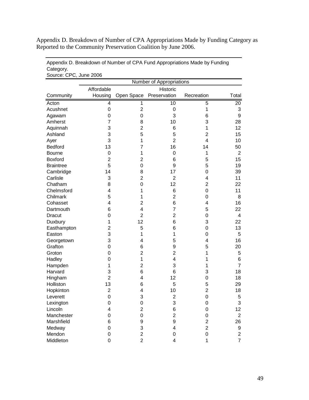Appendix D. Breakdown of Number of CPA Appropriations Made by Funding Category as Reported to the Community Preservation Coalition by June 2006.

| Source: CPC, June 2006 |                          |                |                |                |                  |  |  |
|------------------------|--------------------------|----------------|----------------|----------------|------------------|--|--|
|                        | Number of Appropriations |                |                |                |                  |  |  |
|                        | Affordable               |                | Historic       |                |                  |  |  |
| Community              | Housing                  | Open Space     | Preservation   | Recreation     | Total            |  |  |
| Acton                  | 4                        | 1              | 10             | 5              | 20               |  |  |
| Acushnet               | 0                        | $\overline{2}$ | 0              | 1              | 3                |  |  |
| Agawam                 | 0                        | 0              | 3              | 6              | 9                |  |  |
| Amherst                | $\overline{7}$           | 8              | 10             | 3              | 28               |  |  |
| Aquinnah               | 3                        | $\overline{2}$ | 6              | 1              | 12               |  |  |
| Ashland                | 3                        | 5              | 5              | $\overline{2}$ | 15               |  |  |
| Ayer                   | 3                        | 1              | $\overline{2}$ | $\overline{4}$ | 10               |  |  |
| <b>Bedford</b>         | 13                       | 7              | 16             | 14             | 50               |  |  |
| <b>Bourne</b>          | 0                        | 1              | 0              | 1              | $\overline{2}$   |  |  |
| <b>Boxford</b>         | $\overline{\mathbf{c}}$  | $\overline{c}$ | 6              | 5              | 15               |  |  |
| <b>Braintree</b>       | 5                        | 0              | 9              | 5              | 19               |  |  |
| Cambridge              | 14                       | 8              | 17             | 0              | 39               |  |  |
| Carlisle               | 3                        | $\overline{2}$ | $\overline{2}$ | 4              | 11               |  |  |
| Chatham                | 8                        | 0              | 12             | $\overline{2}$ | 22               |  |  |
| Chelmsford             | 4                        | 1              | 6              | 0              | 11               |  |  |
| Chilmark               | 5                        | 1              | $\overline{c}$ | 0              | 8                |  |  |
| Cohasset               | 4                        | 2              | 6              | 4              | 16               |  |  |
| Dartmouth              | 6                        | 4              | 7              | 5              | 22               |  |  |
| <b>Dracut</b>          | 0                        | $\overline{2}$ | 2              | 0              | 4                |  |  |
| Duxbury                | 1                        | 12             | 6              | 3              | 22               |  |  |
| Easthampton            | $\overline{c}$           | 5              | 6              | 0              | 13               |  |  |
| Easton                 | 3                        | 1              | 1              | 0              | 5                |  |  |
| Georgetown             | 3                        | 4              | 5              | 4              | 16               |  |  |
| Grafton                | 0                        | 6              | 9              | 5              | 20               |  |  |
| Groton                 | 0                        | $\overline{c}$ | 2              | 1              | 5                |  |  |
| Hadley                 | 0                        | 1              | 4              | 1              | 6                |  |  |
| Hampden                | 1                        | $\overline{c}$ | 3              | 1              | $\overline{7}$   |  |  |
| Harvard                | 3                        | 6              | 6              | 3              | 18               |  |  |
| Hingham                | $\overline{2}$           | 4              | 12             | 0              | 18               |  |  |
| Holliston              | 13                       | 6              | 5              | 5              | 29               |  |  |
| Hopkinton              | $\overline{c}$           | 4              | 10             | $\overline{2}$ | 18               |  |  |
| Leverett               | $\boldsymbol{0}$         | 3              | $\overline{2}$ | $\mathbf 0$    | 5                |  |  |
| Lexington              | 0                        | 0              | 3              | 0              | 3                |  |  |
| Lincoln                | 4                        | $\overline{c}$ | 6              | 0              | 12               |  |  |
| Manchester             | 0                        | 0              | $\overline{2}$ | 0              | $\boldsymbol{2}$ |  |  |
| Marshfield             | 6                        | 9              | 9              | $\overline{2}$ | 26               |  |  |
| Medway                 | 0                        | 3              | 4              | $\overline{2}$ | 9                |  |  |
| Mendon                 | 0                        | $\overline{2}$ | 0              | 0              | $\overline{c}$   |  |  |
| Middleton              | 0                        | $\overline{2}$ | 4              | 1              | $\overline{7}$   |  |  |

Appendix D. Breakdown of Number of CPA Fund Appropriations Made by Funding Category.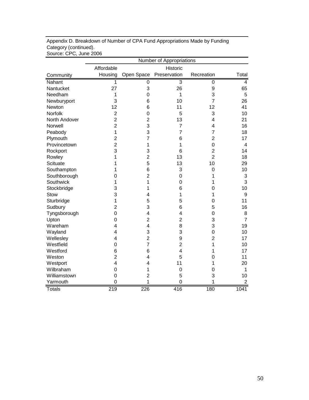|                 | Number of Appropriations |                         |                |                |                  |  |
|-----------------|--------------------------|-------------------------|----------------|----------------|------------------|--|
|                 | Affordable               |                         | Historic       |                |                  |  |
| Community       | Housing                  | Open Space              | Preservation   | Recreation     | Total            |  |
| Nahant          | 1                        | 0                       | 3              | $\mathbf 0$    | $\overline{4}$   |  |
| Nantucket       | 27                       | 3                       | 26             | 9              | 65               |  |
| Needham         | 1                        | 0                       | 1              | 3              | 5                |  |
| Newburyport     | 3                        | 6                       | 10             | $\overline{7}$ | 26               |  |
| Newton          | 12                       | 6                       | 11             | 12             | 41               |  |
| Norfolk         | $\overline{2}$           | 0                       | 5              | 3              | 10               |  |
| North Andover   | $\overline{2}$           | $\overline{2}$          | 13             | $\overline{4}$ | 21               |  |
| Norwell         | $\overline{2}$           | 3                       | 7              | $\overline{4}$ | 16               |  |
| Peabody         | $\mathbf{1}$             | 3                       | $\overline{7}$ | $\overline{7}$ | 18               |  |
| Plymouth        | $\overline{2}$           | $\overline{7}$          | 6              | $\overline{2}$ | 17               |  |
| Provincetown    | $\overline{2}$           | 1                       | 1              | $\mathbf 0$    | 4                |  |
| Rockport        | 3                        | 3                       | 6              | $\overline{2}$ | 14               |  |
| Rowley          | 1                        | $\overline{2}$          | 13             | $\overline{2}$ | 18               |  |
| <b>Scituate</b> | 1                        | 5                       | 13             | 10             | 29               |  |
| Southampton     | 1                        | 6                       | 3              | $\mathbf 0$    | 10               |  |
| Southborough    | 0                        | $\overline{2}$          | 0              | 1              | 3                |  |
| Southwick       | 1                        | 1                       | 0              | 1              | 3                |  |
| Stockbridge     | 3                        | 1                       | 6              | $\mathbf 0$    | 10               |  |
| Stow            | 3                        | 4                       | 1              | 1              | $\boldsymbol{9}$ |  |
| Sturbridge      | 1                        | 5                       | 5              | $\mathbf 0$    | 11               |  |
| Sudbury         | $\overline{2}$           | 3                       | 6              | 5              | 16               |  |
| Tyngsborough    | $\overline{0}$           | $\overline{\mathbf{4}}$ | 4              | $\mathbf 0$    | 8                |  |
| Upton           | 0                        | $\overline{2}$          | $\overline{2}$ | 3              | $\overline{7}$   |  |
| Wareham         | 4                        | $\overline{\mathbf{4}}$ | 8              | 3              | 19               |  |
| Wayland         | 4                        | 3                       | 3              | $\mathbf 0$    | 10               |  |
| Wellesley       | $\overline{4}$           | $\overline{2}$          | 9              | $\overline{2}$ | 17               |  |
| Westfield       | 0                        | $\overline{7}$          | $\overline{2}$ | 1              | 10               |  |
| Westford        | 6                        | 6                       | 4              | 1              | 17               |  |
| Weston          | $\overline{2}$           | 4                       | 5              | 0              | 11               |  |
| Westport        | 4                        | 4                       | 11             | 1              | 20               |  |
| Wilbraham       | $\overline{0}$           | 1                       | 0              | 0              | 1                |  |
| Williamstown    | 0                        | $\overline{c}$          | 5              | 3              | 10               |  |
| Yarmouth        | $\overline{0}$           | 1                       | $\overline{0}$ | 1              | $\overline{2}$   |  |
| <b>Totals</b>   | 219                      | 226                     | 416            | 180            | 1041             |  |

Appendix D. Breakdown of Number of CPA Fund Appropriations Made by Funding Category (continued). Source: CPC, June 2006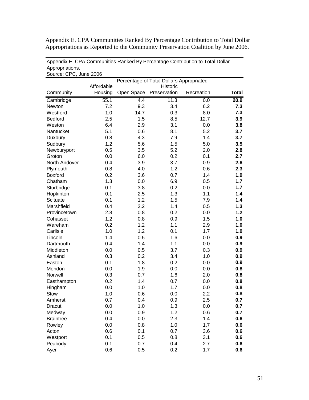Appendix E. CPA Communities Ranked By Percentage Contribution to Total Dollar Appropriations as Reported to the Community Preservation Coalition by June 2006.

| Source: CPC, June 2006 |                                          |            |              |            |              |  |  |
|------------------------|------------------------------------------|------------|--------------|------------|--------------|--|--|
|                        | Percentage of Total Dollars Appropriated |            |              |            |              |  |  |
|                        | Affordable<br>Historic                   |            |              |            |              |  |  |
| Community              | Housing                                  | Open Space | Preservation | Recreation | <b>Total</b> |  |  |
| Cambridge              | 55.1                                     | 4.4        | 11.3         | 0.0        | 20.9         |  |  |
| Newton                 | 7.2                                      | 9.3        | 3.4          | 6.2        | 7.3          |  |  |
| Westford               | 1.0                                      | 14.7       | 0.3          | 8.0        | 7.3          |  |  |
| <b>Bedford</b>         | 2.5                                      | 1.5        | 8.5          | 12.7       | 3.9          |  |  |
| Weston                 | 6.4                                      | 2.9        | 3.1          | 0.0        | 3.8          |  |  |
| Nantucket              | 5.1                                      | 0.6        | 8.1          | 5.2        | 3.7          |  |  |
| Duxbury                | 0.8                                      | 4.3        | 7.9          | 1.4        | 3.7          |  |  |
| Sudbury                | 1.2                                      | 5.6        | 1.5          | 5.0        | 3.5          |  |  |
| Newburyport            | 0.5                                      | 3.5        | 5.2          | 2.0        | 2.8          |  |  |
| Groton                 | 0.0                                      | 6.0        | 0.2          | 0.1        | 2.7          |  |  |
| North Andover          | 0.4                                      | 3.9        | 3.7          | 0.9        | 2.6          |  |  |
| Plymouth               | 0.8                                      | 4.0        | 1.2          | 0.6        | 2.3          |  |  |
| <b>Boxford</b>         | 0.2                                      | 3.6        | 0.7          | 1.4        | 1.9          |  |  |
| Chatham                | 1.3                                      | 0.0        | 6.9          | 0.5        | 1.7          |  |  |
| Sturbridge             | 0.1                                      | 3.8        | 0.2          | 0.0        | 1.7          |  |  |
| Hopkinton              | 0.1                                      | 2.5        | 1.3          | 1.1        | 1.4          |  |  |
| Scituate               | 0.1                                      | 1.2        | 1.5          | 7.9        | 1.4          |  |  |
| Marshfield             | 0.4                                      | 2.2        | 1.4          | 0.5        | 1.3          |  |  |
| Provincetown           | 2.8                                      | 0.8        | 0.2          | 0.0        | 1.2          |  |  |
| Cohasset               | 1.2                                      | 0.8        | 0.9          | 1.5        | 1.0          |  |  |
| Wareham                | 0.2                                      | 1.2        | 1.1          | 2.9        | 1.0          |  |  |
| Carlisle               | 1.0                                      | 1.2        | 0.1          | 1.7        | 1.0          |  |  |
| Lincoln                | 1.4                                      | 0.5        | 1.6          | 0.0        | 0.9          |  |  |
| Dartmouth              | 0.4                                      | 1.4        | 1.1          | 0.0        | 0.9          |  |  |
| Middleton              | 0.0                                      | 0.5        | 3.7          | 0.3        | 0.9          |  |  |
| Ashland                | 0.3                                      | 0.2        | 3.4          | 1.0        | 0.9          |  |  |
| Easton                 | 0.1                                      | 1.8        | 0.2          | 0.0        | 0.9          |  |  |
| Mendon                 | 0.0                                      | 1.9        | 0.0          | 0.0        | 0.8          |  |  |
| Norwell                | 0.3                                      | 0.7        | 1.6          | 2.0        | 0.8          |  |  |
| Easthampton            | 0.2                                      | 1.4        | 0.7          | 0.0        | 0.8          |  |  |
| Hingham                | 0.0                                      | 1.0        | 1.7          | 0.0        | 0.8          |  |  |
| <b>Stow</b>            | 1.0                                      | 0.6        | 0.0          | 2.2        | 0.8          |  |  |
| Amherst                | 0.7                                      | 0.4        | 0.9          | 2.5        | 0.7          |  |  |
| Dracut                 | 0.0                                      | 1.0        | 1.3          | 0.0        | 0.7          |  |  |
| Medway                 | 0.0                                      | 0.9        | 1.2          | 0.6        | 0.7          |  |  |
| <b>Braintree</b>       | 0.4                                      | 0.0        | 2.3          | 1.4        | 0.6          |  |  |
| Rowley                 | 0.0                                      | 0.8        | 1.0          | 1.7        | 0.6          |  |  |
| Acton                  | 0.6                                      | 0.1        | 0.7          | 3.6        | 0.6          |  |  |
| Westport               | 0.1                                      | 0.5        | 0.8          | 3.1        | 0.6          |  |  |
| Peabody                | 0.1                                      | 0.7        | 0.4          | 2.7        | 0.6          |  |  |
| Ayer                   | 0.6                                      | 0.5        | 0.2          | 1.7        | 0.6          |  |  |

Appendix E. CPA Communities Ranked By Percentage Contribution to Total Dollar Appropriations.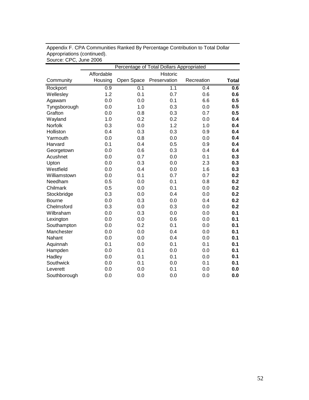|               | Percentage of Total Dollars Appropriated |            |                  |            |              |  |
|---------------|------------------------------------------|------------|------------------|------------|--------------|--|
|               | Affordable                               |            | Historic         |            |              |  |
| Community     | Housing                                  | Open Space | Preservation     | Recreation | <b>Total</b> |  |
| Rockport      | 0.9                                      | 0.1        | $\overline{1.1}$ | 0.4        | 0.6          |  |
| Wellesley     | 1.2                                      | 0.1        | 0.7              | 0.6        | 0.6          |  |
| Agawam        | 0.0                                      | 0.0        | 0.1              | 6.6        | 0.5          |  |
| Tyngsborough  | 0.0                                      | 1.0        | 0.3              | 0.0        | 0.5          |  |
| Grafton       | 0.0                                      | 0.8        | 0.3              | 0.7        | 0.5          |  |
| Wayland       | 1.0                                      | 0.2        | 0.2              | 0.0        | 0.4          |  |
| Norfolk       | 0.3                                      | 0.0        | 1.2              | 1.0        | 0.4          |  |
| Holliston     | 0.4                                      | 0.3        | 0.3              | 0.9        | 0.4          |  |
| Yarmouth      | 0.0                                      | 0.8        | 0.0              | 0.0        | 0.4          |  |
| Harvard       | 0.1                                      | 0.4        | 0.5              | 0.9        | 0.4          |  |
| Georgetown    | 0.0                                      | 0.6        | 0.3              | 0.4        | 0.4          |  |
| Acushnet      | 0.0                                      | 0.7        | 0.0              | 0.1        | 0.3          |  |
| Upton         | 0.0                                      | 0.3        | 0.0              | 2.3        | 0.3          |  |
| Westfield     | 0.0                                      | 0.4        | 0.0              | 1.6        | 0.3          |  |
| Williamstown  | 0.0                                      | 0.1        | 0.7              | 0.7        | 0.2          |  |
| Needham       | 0.5                                      | 0.0        | 0.1              | 0.8        | 0.2          |  |
| Chilmark      | 0.5                                      | 0.0        | 0.1              | 0.0        | 0.2          |  |
| Stockbridge   | 0.3                                      | 0.0        | 0.4              | 0.0        | 0.2          |  |
| <b>Bourne</b> | 0.0                                      | 0.3        | 0.0              | 0.4        | 0.2          |  |
| Chelmsford    | 0.3                                      | 0.0        | 0.3              | 0.0        | 0.2          |  |
| Wilbraham     | 0.0                                      | 0.3        | 0.0              | 0.0        | 0.1          |  |
| Lexington     | 0.0                                      | 0.0        | 0.6              | 0.0        | 0.1          |  |
| Southampton   | 0.0                                      | 0.2        | 0.1              | 0.0        | 0.1          |  |
| Manchester    | 0.0                                      | 0.0        | 0.4              | 0.0        | 0.1          |  |
| Nahant        | 0.0                                      | 0.0        | 0.4              | 0.0        | 0.1          |  |
| Aquinnah      | 0.1                                      | 0.0        | 0.1              | 0.1        | 0.1          |  |
| Hampden       | 0.0                                      | 0.1        | 0.0              | 0.0        | 0.1          |  |
| Hadley        | 0.0                                      | 0.1        | 0.1              | 0.0        | 0.1          |  |
| Southwick     | 0.0                                      | 0.1        | 0.0              | 0.1        | 0.1          |  |
| Leverett      | 0.0                                      | 0.0        | 0.1              | 0.0        | 0.0          |  |
| Southborough  | 0.0                                      | 0.0        | 0.0              | 0.0        | 0.0          |  |

Appendix F. CPA Communities Ranked By Percentage Contribution to Total Dollar Appropriations (continued). Source: CPC, June 2006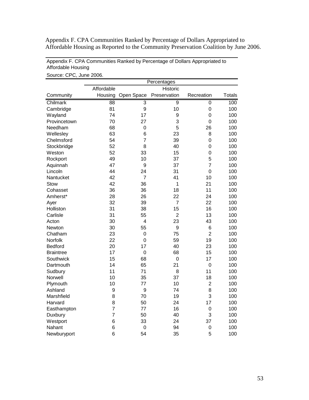Appendix F. CPA Communities Ranked by Percentage of Dollars Appropriated to Affordable Housing as Reported to the Community Preservation Coalition by June 2006.

| Appendix F. CPA Communities Ranked by Percentage of Dollars Appropriated to |  |
|-----------------------------------------------------------------------------|--|
| Affordable Housing                                                          |  |

|                  |                |                | Percentages    |                |               |
|------------------|----------------|----------------|----------------|----------------|---------------|
|                  | Affordable     |                | Historic       |                |               |
| Community        | Housing        | Open Space     | Preservation   | Recreation     | <b>Totals</b> |
| Chilmark         | 88             | $\overline{3}$ | $\overline{9}$ | $\overline{0}$ | 100           |
| Cambridge        | 81             | 9              | 10             | 0              | 100           |
| Wayland          | 74             | 17             | 9              | $\overline{0}$ | 100           |
| Provincetown     | 70             | 27             | 3              | $\overline{0}$ | 100           |
| Needham          | 68             | $\mathbf 0$    | 5              | 26             | 100           |
| Wellesley        | 63             | 6              | 23             | 8              | 100           |
| Chelmsford       | 54             | $\overline{7}$ | 39             | $\overline{0}$ | 100           |
| Stockbridge      | 52             | 8              | 40             | $\overline{0}$ | 100           |
| Weston           | 52             | 33             | 15             | $\overline{0}$ | 100           |
| Rockport         | 49             | 10             | 37             | 5              | 100           |
| Aquinnah         | 47             | 9              | 37             | 7              | 100           |
| Lincoln          | 44             | 24             | 31             | $\overline{0}$ | 100           |
| Nantucket        | 42             | $\overline{7}$ | 41             | 10             | 100           |
| <b>Stow</b>      | 42             | 36             | 1              | 21             | 100           |
| Cohasset         | 36             | 36             | 18             | 11             | 100           |
| Amherst*         | 28             | 26             | 22             | 24             | 100           |
| Ayer             | 32             | 39             | $\overline{7}$ | 22             | 100           |
| Holliston        | 31             | 38             | 15             | 16             | 100           |
| Carlisle         | 31             | 55             | $\overline{2}$ | 13             | 100           |
| Acton            | 30             | 4              | 23             | 43             | 100           |
| Newton           | 30             | 55             | 9              | 6              | 100           |
| Chatham          | 23             | $\mathbf 0$    | 75             | $\overline{2}$ | 100           |
| Norfolk          | 22             | $\overline{0}$ | 59             | 19             | 100           |
| <b>Bedford</b>   | 20             | 17             | 40             | 23             | 100           |
| <b>Braintree</b> | 17             | $\mathbf 0$    | 68             | 15             | 100           |
| Southwick        | 15             | 68             | $\mathbf 0$    | 17             | 100           |
| Dartmouth        | 14             | 65             | 21             | $\mathbf 0$    | 100           |
| Sudbury          | 11             | 71             | 8              | 11             | 100           |
| Norwell          | 10             | 35             | 37             | 18             | 100           |
| Plymouth         | 10             | 77             | 10             | $\overline{2}$ | 100           |
| Ashland          | 9              | 9              | 74             | 8              | 100           |
| Marshfield       | 8              | 70             | 19             | 3              | 100           |
| Harvard          | 8              | 50             | 24             | 17             | 100           |
| Easthampton      | $\overline{7}$ | 77             | 16             | $\mathbf 0$    | 100           |
| Duxbury          | $\overline{7}$ | 50             | 40             | 3              | 100           |
| Westport         | 6              | 33             | 24             | 37             | 100           |
| Nahant           | 6              | $\mathbf 0$    | 94             | 0              | 100           |
| Newburyport      | 6              | 54             | 35             | 5              | 100           |

Source: CPC, June 2006.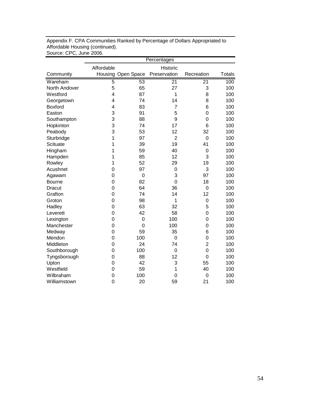|                 | Percentages    |                    |                 |                 |               |  |
|-----------------|----------------|--------------------|-----------------|-----------------|---------------|--|
|                 | Affordable     |                    | Historic        |                 |               |  |
| Community       |                | Housing Open Space | Preservation    | Recreation      | <b>Totals</b> |  |
| Wareham         | 5              | 53                 | $\overline{21}$ | $\overline{21}$ | 100           |  |
| North Andover   | 5              | 65                 | 27              | 3               | 100           |  |
| Westford        | 4              | 87                 | 1               | 8               | 100           |  |
| Georgetown      | 4              | 74                 | 14              | 8               | 100           |  |
| <b>Boxford</b>  | 4              | 83                 | 7               | 6               | 100           |  |
| Easton          | 3              | 91                 | 5               | 0               | 100           |  |
| Southampton     | 3              | 88                 | 9               | 0               | 100           |  |
| Hopkinton       | 3              | 74                 | 17              | 6               | 100           |  |
| Peabody         | 3              | 53                 | 12              | 32              | 100           |  |
| Sturbridge      | 1              | 97                 | $\overline{2}$  | $\overline{0}$  | 100           |  |
| <b>Scituate</b> | 1              | 39                 | 19              | 41              | 100           |  |
| Hingham         | 1              | 59                 | 40              | $\mathbf 0$     | 100           |  |
| Hampden         | 1              | 85                 | 12              | 3               | 100           |  |
| Rowley          | 1              | 52                 | 29              | 19              | 100           |  |
| Acushnet        | $\overline{0}$ | 97                 | $\mathbf 0$     | 3               | 100           |  |
| Agawam          | $\mathbf 0$    | $\mathbf 0$        | 3               | 97              | 100           |  |
| <b>Bourne</b>   | $\overline{0}$ | 82                 | $\overline{0}$  | 18              | 100           |  |
| Dracut          | $\overline{0}$ | 64                 | 36              | 0               | 100           |  |
| Grafton         | $\overline{0}$ | 74                 | 14              | 12              | 100           |  |
| Groton          | $\overline{0}$ | 98                 | 1               | $\mathbf 0$     | 100           |  |
| Hadley          | $\overline{0}$ | 63                 | 32              | 5               | 100           |  |
| Leverett        | $\overline{0}$ | 42                 | 58              | 0               | 100           |  |
| Lexington       | $\overline{0}$ | $\mathbf 0$        | 100             | $\mathbf 0$     | 100           |  |
| Manchester      | $\overline{0}$ | $\mathbf 0$        | 100             | $\overline{0}$  | 100           |  |
| Medway          | $\overline{0}$ | 59                 | 35              | 6               | 100           |  |
| Mendon          | $\mathbf 0$    | 100                | $\mathbf 0$     | $\mathbf 0$     | 100           |  |
| Middleton       | $\mathbf 0$    | 24                 | 74              | $\overline{2}$  | 100           |  |
| Southborough    | $\overline{0}$ | 100                | $\mathbf 0$     | $\overline{0}$  | 100           |  |
| Tyngsborough    | $\mathbf 0$    | 88                 | 12              | $\overline{0}$  | 100           |  |
| Upton           | $\overline{0}$ | 42                 | 3               | 55              | 100           |  |
| Westfield       | $\overline{0}$ | 59                 | 1               | 40              | 100           |  |
| Wilbraham       | $\mathbf 0$    | 100                | $\mathbf 0$     | $\overline{0}$  | 100           |  |
| Williamstown    | $\overline{0}$ | 20                 | 59              | 21              | 100           |  |

Appendix F. CPA Communities Ranked by Percentage of Dollars Appropriated to Affordable Housing (continued). Source: CPC, June 2006.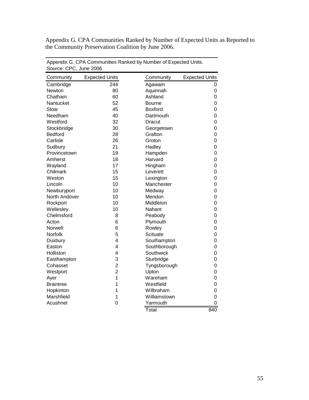Appendix G. CPA Communities Ranked by Number of Expected Units as Reported to the Community Preservation Coalition by June 2006.

| SUUILE. UF U, JUITE ZUUU |                         |                |                       |
|--------------------------|-------------------------|----------------|-----------------------|
| Community                | <b>Expected Units</b>   | Community      | <b>Expected Units</b> |
| Cambridge                | $\overline{244}$        | Agawam         | 0                     |
| Newton                   | 80                      | Aquinnah       | 0                     |
| Chatham                  | 60                      | Ashland        | 0                     |
| Nantucket                | 52                      | Bourne         | 0                     |
| Stow                     | 45                      | <b>Boxford</b> | 0                     |
| Needham                  | 40                      | Dartmouth      | 0                     |
| Westford                 | 32                      | Dracut         | 0                     |
| Stockbridge              | 30                      | Georgetown     | 0                     |
| <b>Bedford</b>           | 28                      | Grafton        | 0                     |
| Carlisle                 | 26                      | Groton         | 0                     |
| Sudbury                  | 21                      | Hadley         | 0                     |
| Provincetown             | 19                      | Hampden        | 0                     |
| Amherst                  | 18                      | Harvard        | 0                     |
| Wayland                  | 17                      | Hingham        | 0                     |
| Chilmark                 | 15                      | Leverett       | 0                     |
| Weston                   | 15                      | Lexington      | 0                     |
| Lincoln                  | 10                      | Manchester     | 0                     |
| Newburyport              | 10                      | Medway         | 0                     |
| North Andover            | 10                      | Mendon         | 0                     |
| Rockport                 | 10                      | Middleton      | 0                     |
| Wellesley                | 10                      | Nahant         | 0                     |
| Chelmsford               | 8                       | Peabody        | 0                     |
| Acton                    | 6                       | Plymouth       | 0                     |
| Norwell                  | 6                       | Rowley         | 0                     |
| Norfolk                  | 5                       | Scituate       | 0                     |
| Duxbury                  | $\overline{\mathbf{4}}$ | Southampton    | 0                     |
| Easton                   | 4                       | Southborough   | 0                     |
| Holliston                | 4                       | Southwick      | 0                     |
| Easthampton              | 3                       | Sturbridge     | 0                     |
| Cohasset                 | $\overline{2}$          | Tyngsborough   | 0                     |
| Westport                 | $\overline{2}$          | Upton          | 0                     |
| Ayer                     | 1                       | Wareham        | 0                     |
| <b>Braintree</b>         | 1                       | Westfield      | 0                     |
| Hopkinton                | 1                       | Wilbraham      | 0                     |
| Marshfield               | 1                       | Williamstown   | 0                     |
| Acushnet                 | 0                       | Yarmouth       | 0                     |
|                          |                         | Total          | 840                   |

Appendix G. CPA Communities Ranked by Number of Expected Units. Source: CPC, June 2006